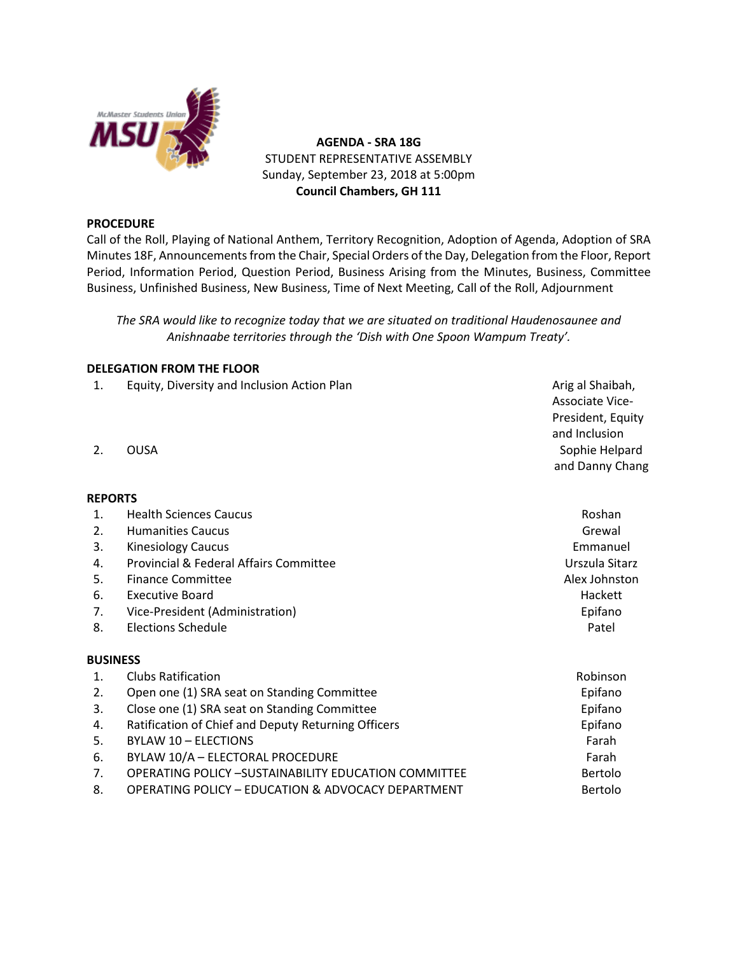

**AGENDA - SRA 18G** STUDENT REPRESENTATIVE ASSEMBLY Sunday, September 23, 2018 at 5:00pm **Council Chambers, GH 111**

# **PROCEDURE**

Call of the Roll, Playing of National Anthem, Territory Recognition, Adoption of Agenda, Adoption of SRA Minutes 18F, Announcements from the Chair, Special Orders of the Day, Delegation from the Floor, Report Period, Information Period, Question Period, Business Arising from the Minutes, Business, Committee Business, Unfinished Business, New Business, Time of Next Meeting, Call of the Roll, Adjournment

*The SRA would like to recognize today that we are situated on traditional Haudenosaunee and Anishnaabe territories through the 'Dish with One Spoon Wampum Treaty'.*

# **DELEGATION FROM THE FLOOR**

- 1. Equity, Diversity and Inclusion Action Plan Arig and Arig al Shaibah,
- 

# **REPORTS**

- 1. Health Sciences Caucus Roshan 2. Humanities Caucus Grewal 3. Kinesiology Caucus Emmanuel 4. Provincial & Federal Affairs Committee New York 1988 Constantine Urszula Sitarz 5. Finance Committee Alex Johnston Committee Alex Johnston Committee Alex Johnston Committee 6. Executive Board Hackett 7. Vice-President (Administration) Epifano 8. Elections Schedule **Patel** Patel **Patel BUSINESS** 1. Clubs Ratification **Robinson** Robinson **Robinson** Robinson 2. Open one (1) SRA seat on Standing Committee **Example 2.** Epifano 3. Close one (1) SRA seat on Standing Committee **Example 2018** Epifano 4. Ratification of Chief and Deputy Returning Officers Epifano 5. BYLAW 10 – ELECTIONS Farah 6. BYLAW 10/A – ELECTORAL PROCEDURE Farah
- 7. OPERATING POLICY -SUSTAINABILITY EDUCATION COMMITTEE BERTOLO Bertolo
- 8. OPERATING POLICY EDUCATION & ADVOCACY DEPARTMENT BERTOLO Bertolo
- Associate Vice-President, Equity and Inclusion 2. OUSA Sophie Helpard and Danny Chang
	-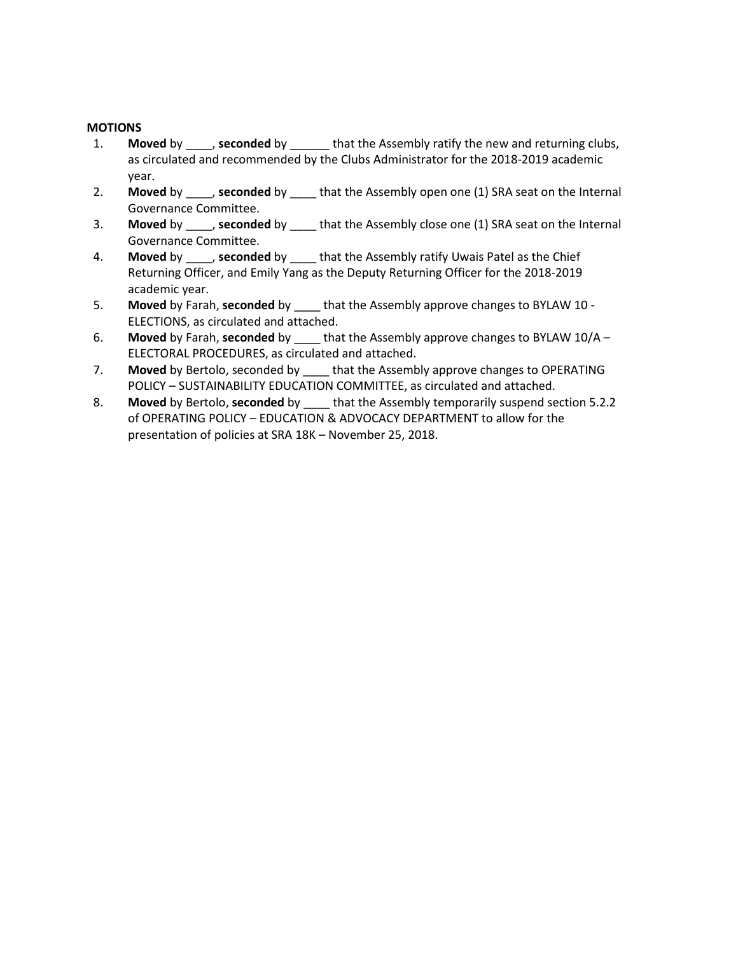# **MOTIONS**

- 1. **Moved** by \_\_\_\_, **seconded** by \_\_\_\_\_\_ that the Assembly ratify the new and returning clubs, as circulated and recommended by the Clubs Administrator for the 2018-2019 academic year.
- 2. **Moved** by \_\_\_\_, **seconded** by \_\_\_\_ that the Assembly open one (1) SRA seat on the Internal Governance Committee.
- 3. **Moved** by \_\_\_\_, **seconded** by \_\_\_\_ that the Assembly close one (1) SRA seat on the Internal Governance Committee.
- 4. **Moved** by \_\_\_\_, **seconded** by \_\_\_\_ that the Assembly ratify Uwais Patel as the Chief Returning Officer, and Emily Yang as the Deputy Returning Officer for the 2018-2019 academic year.
- 5. **Moved** by Farah, **seconded** by \_\_\_\_ that the Assembly approve changes to BYLAW 10 ELECTIONS, as circulated and attached.
- 6. **Moved** by Farah, **seconded** by \_\_\_\_ that the Assembly approve changes to BYLAW 10/A ELECTORAL PROCEDURES, as circulated and attached.
- 7. **Moved** by Bertolo, seconded by \_\_\_\_ that the Assembly approve changes to OPERATING POLICY – SUSTAINABILITY EDUCATION COMMITTEE, as circulated and attached.
- 8. **Moved** by Bertolo, **seconded** by \_\_\_\_ that the Assembly temporarily suspend section 5.2.2 of OPERATING POLICY – EDUCATION & ADVOCACY DEPARTMENT to allow for the presentation of policies at SRA 18K – November 25, 2018.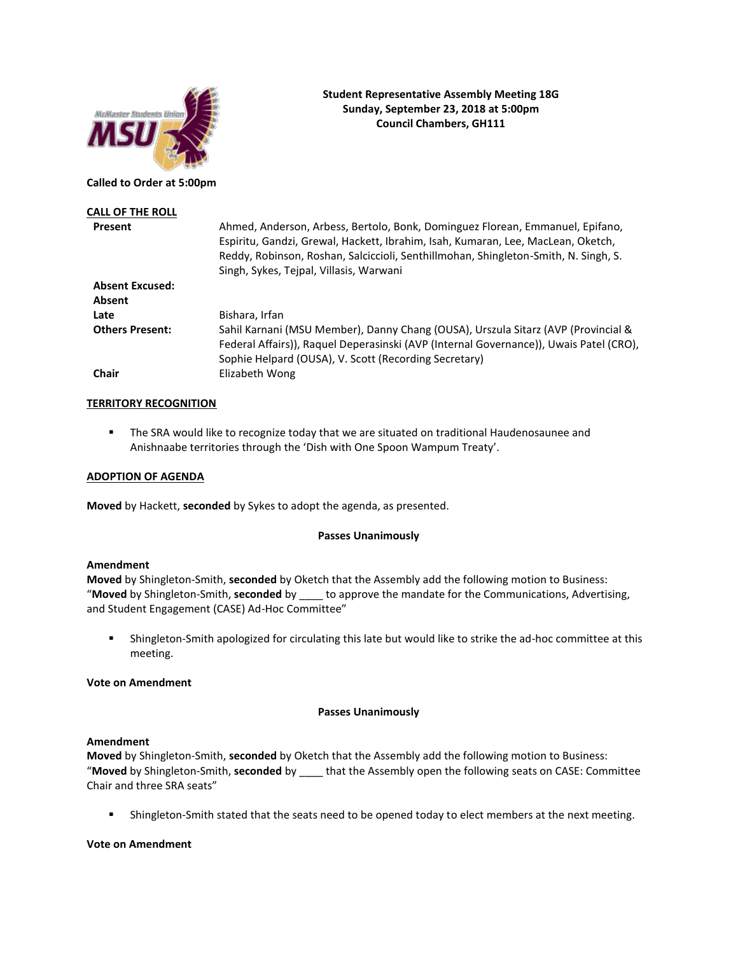

# **Student Representative Assembly Meeting 18G Sunday, September 23, 2018 at 5:00pm Council Chambers, GH111**

**Called to Order at 5:00pm**

| Ahmed, Anderson, Arbess, Bertolo, Bonk, Dominguez Florean, Emmanuel, Epifano,<br>Espiritu, Gandzi, Grewal, Hackett, Ibrahim, Isah, Kumaran, Lee, MacLean, Oketch,<br>Reddy, Robinson, Roshan, Salciccioli, Senthillmohan, Shingleton-Smith, N. Singh, S. |
|----------------------------------------------------------------------------------------------------------------------------------------------------------------------------------------------------------------------------------------------------------|
|                                                                                                                                                                                                                                                          |
|                                                                                                                                                                                                                                                          |
|                                                                                                                                                                                                                                                          |
|                                                                                                                                                                                                                                                          |
|                                                                                                                                                                                                                                                          |
|                                                                                                                                                                                                                                                          |
|                                                                                                                                                                                                                                                          |
| Sahil Karnani (MSU Member), Danny Chang (OUSA), Urszula Sitarz (AVP (Provincial &                                                                                                                                                                        |
| Federal Affairs)), Raquel Deperasinski (AVP (Internal Governance)), Uwais Patel (CRO),                                                                                                                                                                   |
|                                                                                                                                                                                                                                                          |
|                                                                                                                                                                                                                                                          |
|                                                                                                                                                                                                                                                          |

### **TERRITORY RECOGNITION**

**•** The SRA would like to recognize today that we are situated on traditional Haudenosaunee and Anishnaabe territories through the 'Dish with One Spoon Wampum Treaty'.

#### **ADOPTION OF AGENDA**

**Moved** by Hackett, **seconded** by Sykes to adopt the agenda, as presented.

#### **Passes Unanimously**

#### **Amendment**

**Moved** by Shingleton-Smith, **seconded** by Oketch that the Assembly add the following motion to Business: "**Moved** by Shingleton-Smith, **seconded** by \_\_\_\_ to approve the mandate for the Communications, Advertising, and Student Engagement (CASE) Ad-Hoc Committee"

■ Shingleton-Smith apologized for circulating this late but would like to strike the ad-hoc committee at this meeting.

#### **Vote on Amendment**

#### **Passes Unanimously**

#### **Amendment**

**Moved** by Shingleton-Smith, **seconded** by Oketch that the Assembly add the following motion to Business: "**Moved** by Shingleton-Smith, **seconded** by \_\_\_\_ that the Assembly open the following seats on CASE: Committee Chair and three SRA seats"

**EXECT** Shingleton-Smith stated that the seats need to be opened today to elect members at the next meeting.

### **Vote on Amendment**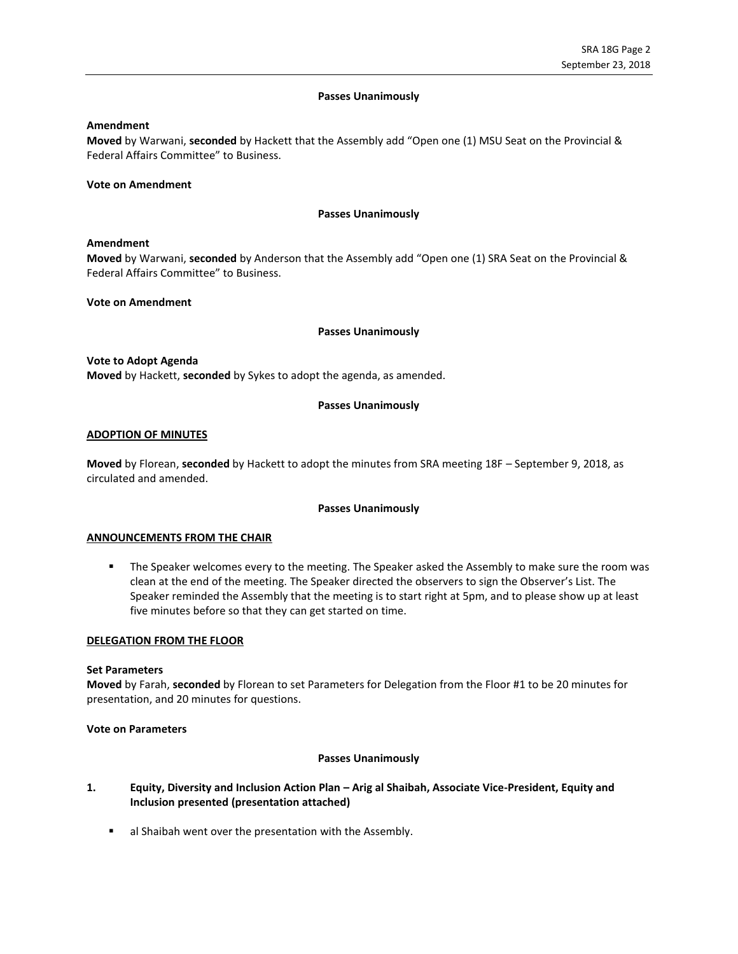#### **Passes Unanimously**

### **Amendment**

**Moved** by Warwani, **seconded** by Hackett that the Assembly add "Open one (1) MSU Seat on the Provincial & Federal Affairs Committee" to Business.

#### **Vote on Amendment**

#### **Passes Unanimously**

#### **Amendment**

**Moved** by Warwani, **seconded** by Anderson that the Assembly add "Open one (1) SRA Seat on the Provincial & Federal Affairs Committee" to Business.

### **Vote on Amendment**

### **Passes Unanimously**

#### **Vote to Adopt Agenda**

**Moved** by Hackett, **seconded** by Sykes to adopt the agenda, as amended.

### **Passes Unanimously**

### **ADOPTION OF MINUTES**

**Moved** by Florean, **seconded** by Hackett to adopt the minutes from SRA meeting 18F – September 9, 2018, as circulated and amended.

#### **Passes Unanimously**

#### **ANNOUNCEMENTS FROM THE CHAIR**

**■** The Speaker welcomes every to the meeting. The Speaker asked the Assembly to make sure the room was clean at the end of the meeting. The Speaker directed the observers to sign the Observer's List. The Speaker reminded the Assembly that the meeting is to start right at 5pm, and to please show up at least five minutes before so that they can get started on time.

#### **DELEGATION FROM THE FLOOR**

#### **Set Parameters**

**Moved** by Farah, **seconded** by Florean to set Parameters for Delegation from the Floor #1 to be 20 minutes for presentation, and 20 minutes for questions.

#### **Vote on Parameters**

#### **Passes Unanimously**

**1. Equity, Diversity and Inclusion Action Plan – Arig al Shaibah, Associate Vice-President, Equity and Inclusion presented (presentation attached)**

■ al Shaibah went over the presentation with the Assembly.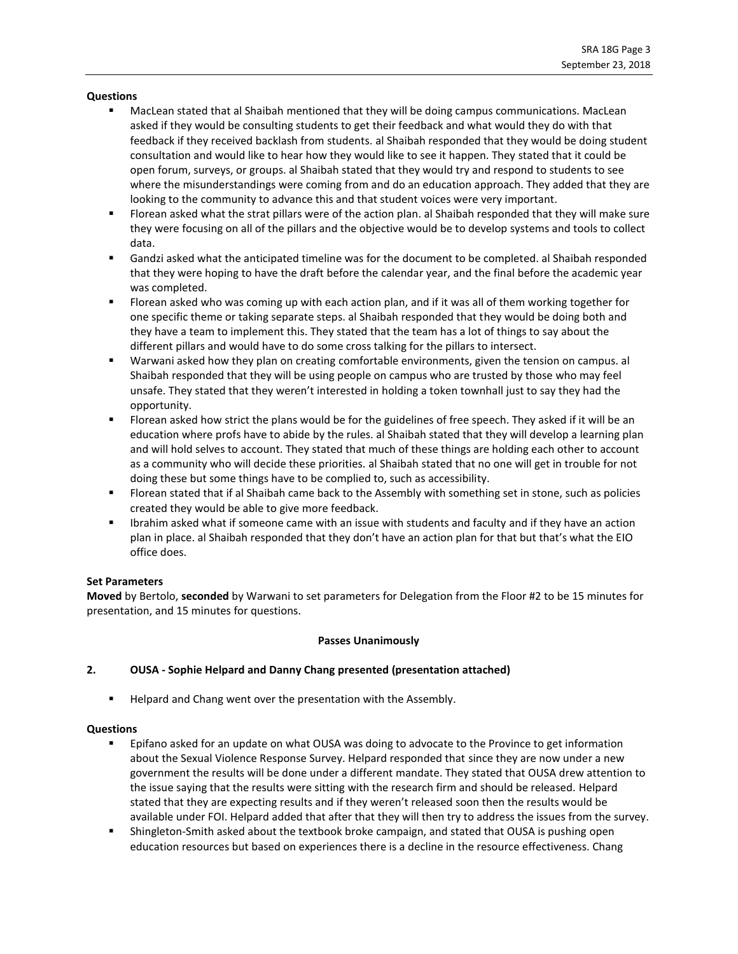### **Questions**

- MacLean stated that al Shaibah mentioned that they will be doing campus communications. MacLean asked if they would be consulting students to get their feedback and what would they do with that feedback if they received backlash from students. al Shaibah responded that they would be doing student consultation and would like to hear how they would like to see it happen. They stated that it could be open forum, surveys, or groups. al Shaibah stated that they would try and respond to students to see where the misunderstandings were coming from and do an education approach. They added that they are looking to the community to advance this and that student voices were very important.
- Florean asked what the strat pillars were of the action plan. al Shaibah responded that they will make sure they were focusing on all of the pillars and the objective would be to develop systems and tools to collect data.
- Gandzi asked what the anticipated timeline was for the document to be completed. al Shaibah responded that they were hoping to have the draft before the calendar year, and the final before the academic year was completed.
- Florean asked who was coming up with each action plan, and if it was all of them working together for one specific theme or taking separate steps. al Shaibah responded that they would be doing both and they have a team to implement this. They stated that the team has a lot of things to say about the different pillars and would have to do some cross talking for the pillars to intersect.
- Warwani asked how they plan on creating comfortable environments, given the tension on campus. al Shaibah responded that they will be using people on campus who are trusted by those who may feel unsafe. They stated that they weren't interested in holding a token townhall just to say they had the opportunity.
- Florean asked how strict the plans would be for the guidelines of free speech. They asked if it will be an education where profs have to abide by the rules. al Shaibah stated that they will develop a learning plan and will hold selves to account. They stated that much of these things are holding each other to account as a community who will decide these priorities. al Shaibah stated that no one will get in trouble for not doing these but some things have to be complied to, such as accessibility.
- Florean stated that if al Shaibah came back to the Assembly with something set in stone, such as policies created they would be able to give more feedback.
- **■** Ibrahim asked what if someone came with an issue with students and faculty and if they have an action plan in place. al Shaibah responded that they don't have an action plan for that but that's what the EIO office does.

#### **Set Parameters**

**Moved** by Bertolo, **seconded** by Warwani to set parameters for Delegation from the Floor #2 to be 15 minutes for presentation, and 15 minutes for questions.

# **Passes Unanimously**

# **2. OUSA - Sophie Helpard and Danny Chang presented (presentation attached)**

Helpard and Chang went over the presentation with the Assembly.

# **Questions**

- Epifano asked for an update on what OUSA was doing to advocate to the Province to get information about the Sexual Violence Response Survey. Helpard responded that since they are now under a new government the results will be done under a different mandate. They stated that OUSA drew attention to the issue saying that the results were sitting with the research firm and should be released. Helpard stated that they are expecting results and if they weren't released soon then the results would be available under FOI. Helpard added that after that they will then try to address the issues from the survey.
- Shingleton-Smith asked about the textbook broke campaign, and stated that OUSA is pushing open education resources but based on experiences there is a decline in the resource effectiveness. Chang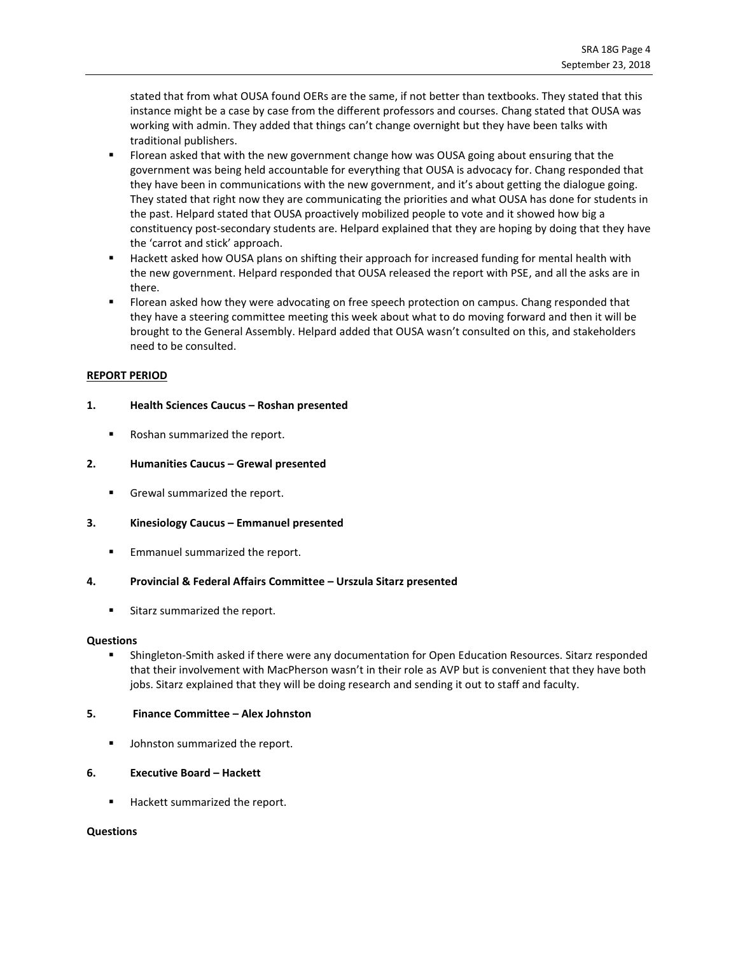stated that from what OUSA found OERs are the same, if not better than textbooks. They stated that this instance might be a case by case from the different professors and courses. Chang stated that OUSA was working with admin. They added that things can't change overnight but they have been talks with traditional publishers.

- Florean asked that with the new government change how was OUSA going about ensuring that the government was being held accountable for everything that OUSA is advocacy for. Chang responded that they have been in communications with the new government, and it's about getting the dialogue going. They stated that right now they are communicating the priorities and what OUSA has done for students in the past. Helpard stated that OUSA proactively mobilized people to vote and it showed how big a constituency post-secondary students are. Helpard explained that they are hoping by doing that they have the 'carrot and stick' approach.
- Hackett asked how OUSA plans on shifting their approach for increased funding for mental health with the new government. Helpard responded that OUSA released the report with PSE, and all the asks are in there.
- Florean asked how they were advocating on free speech protection on campus. Chang responded that they have a steering committee meeting this week about what to do moving forward and then it will be brought to the General Assembly. Helpard added that OUSA wasn't consulted on this, and stakeholders need to be consulted.

### **REPORT PERIOD**

### **1. Health Sciences Caucus – Roshan presented**

■ Roshan summarized the report.

### **2. Humanities Caucus – Grewal presented**

**EXECTE Grewal summarized the report.** 

#### **3. Kinesiology Caucus – Emmanuel presented**

■ Emmanuel summarized the report.

#### **4. Provincial & Federal Affairs Committee – Urszula Sitarz presented**

**EXEC** Sitarz summarized the report.

#### **Questions**

Shingleton-Smith asked if there were any documentation for Open Education Resources. Sitarz responded that their involvement with MacPherson wasn't in their role as AVP but is convenient that they have both jobs. Sitarz explained that they will be doing research and sending it out to staff and faculty.

#### **5. Finance Committee – Alex Johnston**

■ Johnston summarized the report.

# **6. Executive Board – Hackett**

■ Hackett summarized the report.

#### **Questions**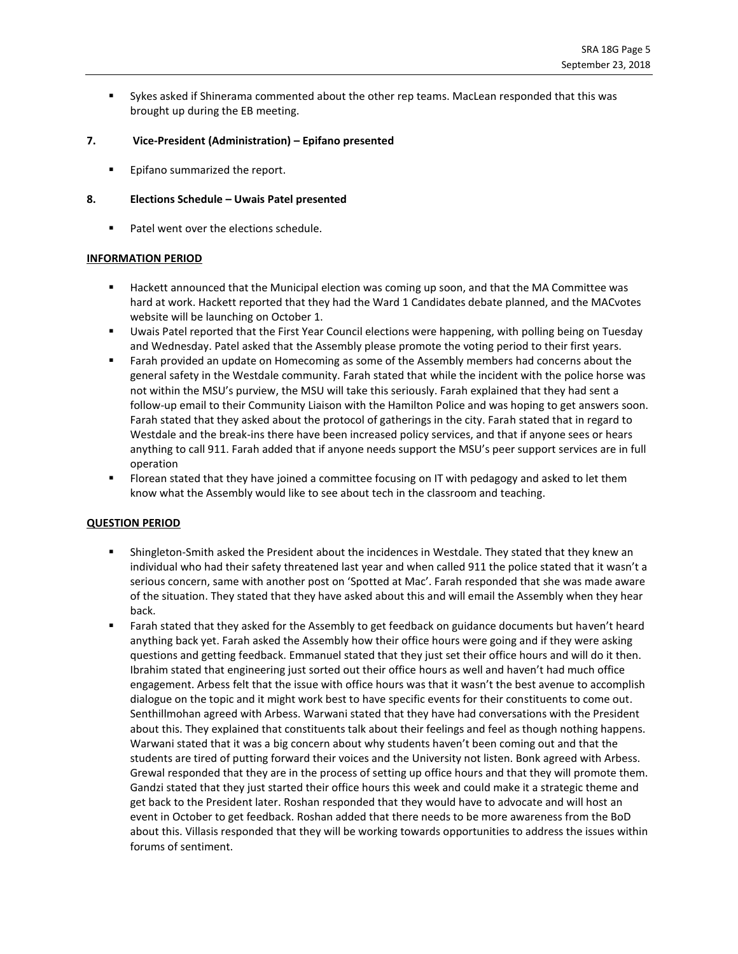Sykes asked if Shinerama commented about the other rep teams. MacLean responded that this was brought up during the EB meeting.

## **7. Vice-President (Administration) – Epifano presented**

Epifano summarized the report.

## **8. Elections Schedule – Uwais Patel presented**

■ Patel went over the elections schedule.

### **INFORMATION PERIOD**

- Hackett announced that the Municipal election was coming up soon, and that the MA Committee was hard at work. Hackett reported that they had the Ward 1 Candidates debate planned, and the MACvotes website will be launching on October 1.
- Uwais Patel reported that the First Year Council elections were happening, with polling being on Tuesday and Wednesday. Patel asked that the Assembly please promote the voting period to their first years.
- Farah provided an update on Homecoming as some of the Assembly members had concerns about the general safety in the Westdale community. Farah stated that while the incident with the police horse was not within the MSU's purview, the MSU will take this seriously. Farah explained that they had sent a follow-up email to their Community Liaison with the Hamilton Police and was hoping to get answers soon. Farah stated that they asked about the protocol of gatherings in the city. Farah stated that in regard to Westdale and the break-ins there have been increased policy services, and that if anyone sees or hears anything to call 911. Farah added that if anyone needs support the MSU's peer support services are in full operation
- Florean stated that they have joined a committee focusing on IT with pedagogy and asked to let them know what the Assembly would like to see about tech in the classroom and teaching.

# **QUESTION PERIOD**

- Shingleton-Smith asked the President about the incidences in Westdale. They stated that they knew an individual who had their safety threatened last year and when called 911 the police stated that it wasn't a serious concern, same with another post on 'Spotted at Mac'. Farah responded that she was made aware of the situation. They stated that they have asked about this and will email the Assembly when they hear back.
- Farah stated that they asked for the Assembly to get feedback on guidance documents but haven't heard anything back yet. Farah asked the Assembly how their office hours were going and if they were asking questions and getting feedback. Emmanuel stated that they just set their office hours and will do it then. Ibrahim stated that engineering just sorted out their office hours as well and haven't had much office engagement. Arbess felt that the issue with office hours was that it wasn't the best avenue to accomplish dialogue on the topic and it might work best to have specific events for their constituents to come out. Senthillmohan agreed with Arbess. Warwani stated that they have had conversations with the President about this. They explained that constituents talk about their feelings and feel as though nothing happens. Warwani stated that it was a big concern about why students haven't been coming out and that the students are tired of putting forward their voices and the University not listen. Bonk agreed with Arbess. Grewal responded that they are in the process of setting up office hours and that they will promote them. Gandzi stated that they just started their office hours this week and could make it a strategic theme and get back to the President later. Roshan responded that they would have to advocate and will host an event in October to get feedback. Roshan added that there needs to be more awareness from the BoD about this. Villasis responded that they will be working towards opportunities to address the issues within forums of sentiment.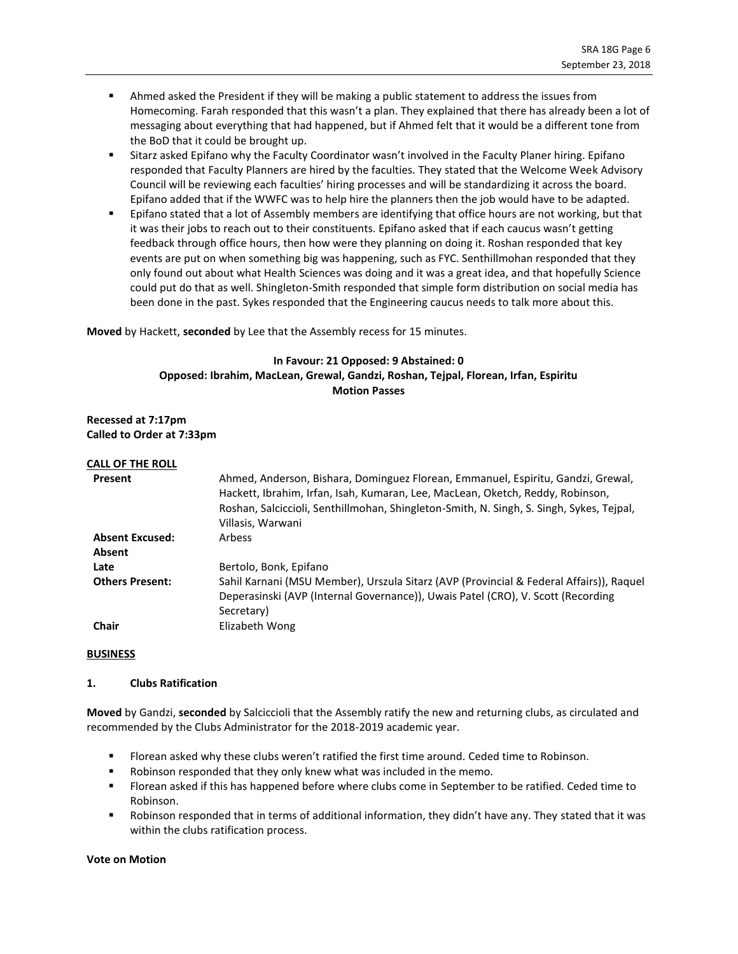- **■** Ahmed asked the President if they will be making a public statement to address the issues from Homecoming. Farah responded that this wasn't a plan. They explained that there has already been a lot of messaging about everything that had happened, but if Ahmed felt that it would be a different tone from the BoD that it could be brought up.
- **EXECT Sitarz asked Epifano why the Faculty Coordinator wasn't involved in the Faculty Planer hiring. Epifano** responded that Faculty Planners are hired by the faculties. They stated that the Welcome Week Advisory Council will be reviewing each faculties' hiring processes and will be standardizing it across the board. Epifano added that if the WWFC was to help hire the planners then the job would have to be adapted.
- Epifano stated that a lot of Assembly members are identifying that office hours are not working, but that it was their jobs to reach out to their constituents. Epifano asked that if each caucus wasn't getting feedback through office hours, then how were they planning on doing it. Roshan responded that key events are put on when something big was happening, such as FYC. Senthillmohan responded that they only found out about what Health Sciences was doing and it was a great idea, and that hopefully Science could put do that as well. Shingleton-Smith responded that simple form distribution on social media has been done in the past. Sykes responded that the Engineering caucus needs to talk more about this.

**Moved** by Hackett, **seconded** by Lee that the Assembly recess for 15 minutes.

# **In Favour: 21 Opposed: 9 Abstained: 0 Opposed: Ibrahim, MacLean, Grewal, Gandzi, Roshan, Tejpal, Florean, Irfan, Espiritu Motion Passes**

**Recessed at 7:17pm Called to Order at 7:33pm**

### **CALL OF THE ROLL**

| Present                | Ahmed, Anderson, Bishara, Dominguez Florean, Emmanuel, Espiritu, Gandzi, Grewal,<br>Hackett, Ibrahim, Irfan, Isah, Kumaran, Lee, MacLean, Oketch, Reddy, Robinson,<br>Roshan, Salciccioli, Senthillmohan, Shingleton-Smith, N. Singh, S. Singh, Sykes, Teipal,<br>Villasis, Warwani |
|------------------------|-------------------------------------------------------------------------------------------------------------------------------------------------------------------------------------------------------------------------------------------------------------------------------------|
| <b>Absent Excused:</b> | <b>Arbess</b>                                                                                                                                                                                                                                                                       |
| Absent                 |                                                                                                                                                                                                                                                                                     |
| Late                   | Bertolo, Bonk, Epifano                                                                                                                                                                                                                                                              |
| <b>Others Present:</b> | Sahil Karnani (MSU Member), Urszula Sitarz (AVP (Provincial & Federal Affairs)), Raquel                                                                                                                                                                                             |
|                        | Deperasinski (AVP (Internal Governance)), Uwais Patel (CRO), V. Scott (Recording                                                                                                                                                                                                    |
|                        | Secretary)                                                                                                                                                                                                                                                                          |
| <b>Chair</b>           | Elizabeth Wong                                                                                                                                                                                                                                                                      |

#### **BUSINESS**

#### **1. Clubs Ratification**

**Moved** by Gandzi, **seconded** by Salciccioli that the Assembly ratify the new and returning clubs, as circulated and recommended by the Clubs Administrator for the 2018-2019 academic year.

- Florean asked why these clubs weren't ratified the first time around. Ceded time to Robinson.
- Robinson responded that they only knew what was included in the memo.
- Florean asked if this has happened before where clubs come in September to be ratified. Ceded time to Robinson.
- Robinson responded that in terms of additional information, they didn't have any. They stated that it was within the clubs ratification process.

#### **Vote on Motion**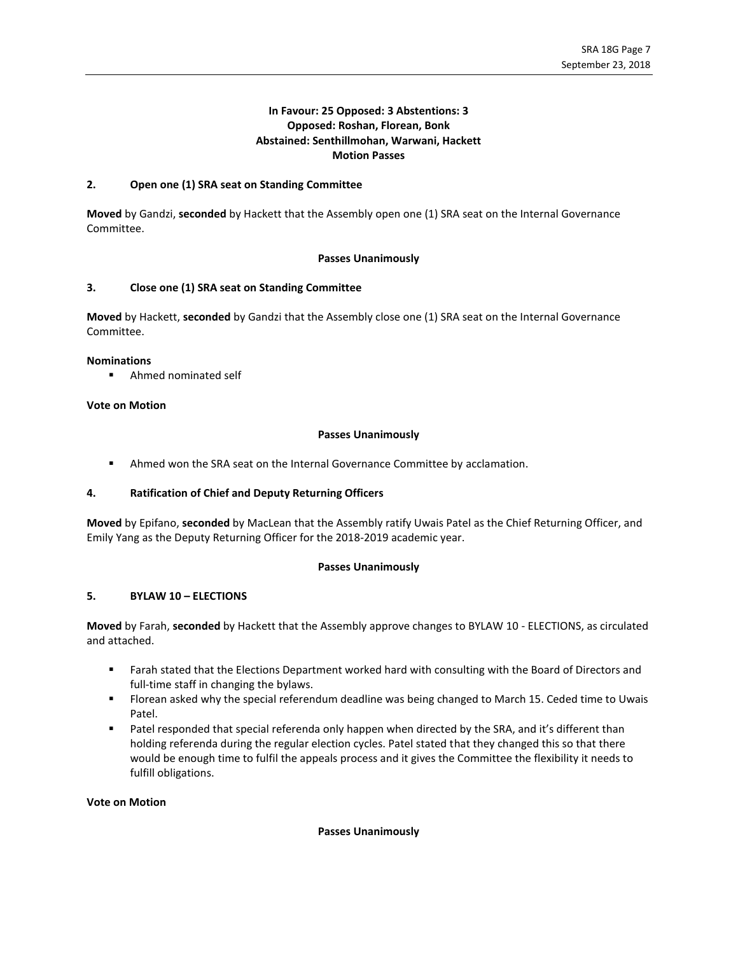# **In Favour: 25 Opposed: 3 Abstentions: 3 Opposed: Roshan, Florean, Bonk Abstained: Senthillmohan, Warwani, Hackett Motion Passes**

## **2. Open one (1) SRA seat on Standing Committee**

**Moved** by Gandzi, **seconded** by Hackett that the Assembly open one (1) SRA seat on the Internal Governance Committee.

### **Passes Unanimously**

### **3. Close one (1) SRA seat on Standing Committee**

**Moved** by Hackett, **seconded** by Gandzi that the Assembly close one (1) SRA seat on the Internal Governance Committee.

#### **Nominations**

■ Ahmed nominated self

# **Vote on Motion**

### **Passes Unanimously**

**■** Ahmed won the SRA seat on the Internal Governance Committee by acclamation.

# **4. Ratification of Chief and Deputy Returning Officers**

**Moved** by Epifano, **seconded** by MacLean that the Assembly ratify Uwais Patel as the Chief Returning Officer, and Emily Yang as the Deputy Returning Officer for the 2018-2019 academic year.

#### **Passes Unanimously**

# **5. BYLAW 10 – ELECTIONS**

**Moved** by Farah, **seconded** by Hackett that the Assembly approve changes to BYLAW 10 - ELECTIONS, as circulated and attached.

- **■** Farah stated that the Elections Department worked hard with consulting with the Board of Directors and full-time staff in changing the bylaws.
- **Florean asked why the special referendum deadline was being changed to March 15. Ceded time to Uwais** Patel.
- Patel responded that special referenda only happen when directed by the SRA, and it's different than holding referenda during the regular election cycles. Patel stated that they changed this so that there would be enough time to fulfil the appeals process and it gives the Committee the flexibility it needs to fulfill obligations.

#### **Vote on Motion**

#### **Passes Unanimously**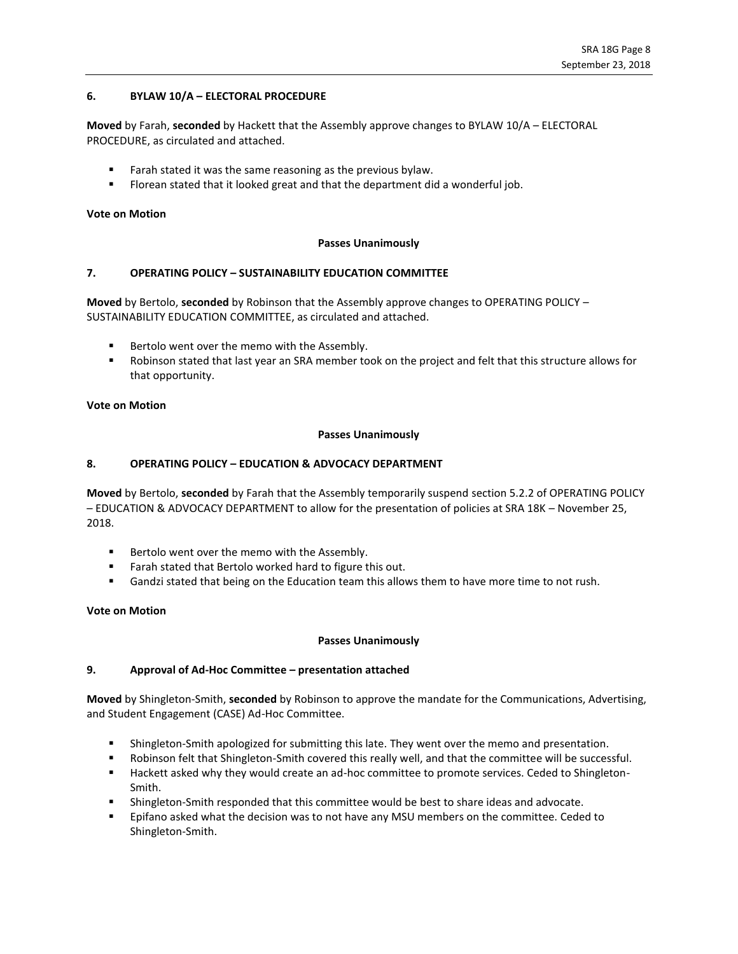# **6. BYLAW 10/A – ELECTORAL PROCEDURE**

**Moved** by Farah, **seconded** by Hackett that the Assembly approve changes to BYLAW 10/A – ELECTORAL PROCEDURE, as circulated and attached.

- Farah stated it was the same reasoning as the previous bylaw.
- **EXECT** Florean stated that it looked great and that the department did a wonderful job.

#### **Vote on Motion**

#### **Passes Unanimously**

### **7. OPERATING POLICY – SUSTAINABILITY EDUCATION COMMITTEE**

**Moved** by Bertolo, **seconded** by Robinson that the Assembly approve changes to OPERATING POLICY – SUSTAINABILITY EDUCATION COMMITTEE, as circulated and attached.

- Bertolo went over the memo with the Assembly.
- Robinson stated that last year an SRA member took on the project and felt that this structure allows for that opportunity.

## **Vote on Motion**

### **Passes Unanimously**

### **8. OPERATING POLICY – EDUCATION & ADVOCACY DEPARTMENT**

**Moved** by Bertolo, **seconded** by Farah that the Assembly temporarily suspend section 5.2.2 of OPERATING POLICY – EDUCATION & ADVOCACY DEPARTMENT to allow for the presentation of policies at SRA 18K – November 25, 2018.

- Bertolo went over the memo with the Assembly.
- Farah stated that Bertolo worked hard to figure this out.
- **■** Gandzi stated that being on the Education team this allows them to have more time to not rush.

#### **Vote on Motion**

#### **Passes Unanimously**

# **9. Approval of Ad-Hoc Committee – presentation attached**

**Moved** by Shingleton-Smith, **seconded** by Robinson to approve the mandate for the Communications, Advertising, and Student Engagement (CASE) Ad-Hoc Committee.

- Shingleton-Smith apologized for submitting this late. They went over the memo and presentation.
- Robinson felt that Shingleton-Smith covered this really well, and that the committee will be successful.
- Hackett asked why they would create an ad-hoc committee to promote services. Ceded to Shingleton-Smith.
- Shingleton-Smith responded that this committee would be best to share ideas and advocate.
- Epifano asked what the decision was to not have any MSU members on the committee. Ceded to Shingleton-Smith.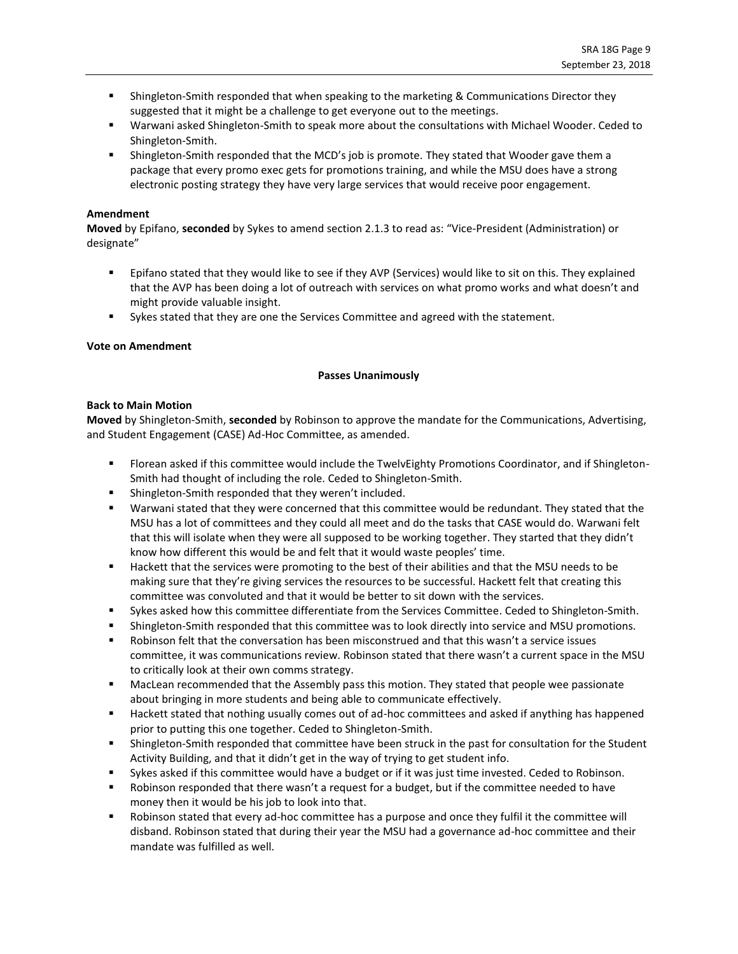- **EXECT** Shingleton-Smith responded that when speaking to the marketing & Communications Director they suggested that it might be a challenge to get everyone out to the meetings.
- Warwani asked Shingleton-Smith to speak more about the consultations with Michael Wooder. Ceded to Shingleton-Smith.
- **EXECT:** Shingleton-Smith responded that the MCD's job is promote. They stated that Wooder gave them a package that every promo exec gets for promotions training, and while the MSU does have a strong electronic posting strategy they have very large services that would receive poor engagement.

#### **Amendment**

**Moved** by Epifano, **seconded** by Sykes to amend section 2.1.3 to read as: "Vice-President (Administration) or designate"

- Epifano stated that they would like to see if they AVP (Services) would like to sit on this. They explained that the AVP has been doing a lot of outreach with services on what promo works and what doesn't and might provide valuable insight.
- **EXERCT:** Sykes stated that they are one the Services Committee and agreed with the statement.

### **Vote on Amendment**

### **Passes Unanimously**

#### **Back to Main Motion**

**Moved** by Shingleton-Smith, **seconded** by Robinson to approve the mandate for the Communications, Advertising, and Student Engagement (CASE) Ad-Hoc Committee, as amended.

- Florean asked if this committee would include the TwelvEighty Promotions Coordinator, and if Shingleton-Smith had thought of including the role. Ceded to Shingleton-Smith.
- Shingleton-Smith responded that they weren't included.
- Warwani stated that they were concerned that this committee would be redundant. They stated that the MSU has a lot of committees and they could all meet and do the tasks that CASE would do. Warwani felt that this will isolate when they were all supposed to be working together. They started that they didn't know how different this would be and felt that it would waste peoples' time.
- Hackett that the services were promoting to the best of their abilities and that the MSU needs to be making sure that they're giving services the resources to be successful. Hackett felt that creating this committee was convoluted and that it would be better to sit down with the services.
- Sykes asked how this committee differentiate from the Services Committee. Ceded to Shingleton-Smith.
- **•** Shingleton-Smith responded that this committee was to look directly into service and MSU promotions.
- Robinson felt that the conversation has been misconstrued and that this wasn't a service issues committee, it was communications review. Robinson stated that there wasn't a current space in the MSU to critically look at their own comms strategy.
- MacLean recommended that the Assembly pass this motion. They stated that people wee passionate about bringing in more students and being able to communicate effectively.
- Hackett stated that nothing usually comes out of ad-hoc committees and asked if anything has happened prior to putting this one together. Ceded to Shingleton-Smith.
- **■** Shingleton-Smith responded that committee have been struck in the past for consultation for the Student Activity Building, and that it didn't get in the way of trying to get student info.
- Sykes asked if this committee would have a budget or if it was just time invested. Ceded to Robinson.
- Robinson responded that there wasn't a request for a budget, but if the committee needed to have money then it would be his job to look into that.
- Robinson stated that every ad-hoc committee has a purpose and once they fulfil it the committee will disband. Robinson stated that during their year the MSU had a governance ad-hoc committee and their mandate was fulfilled as well.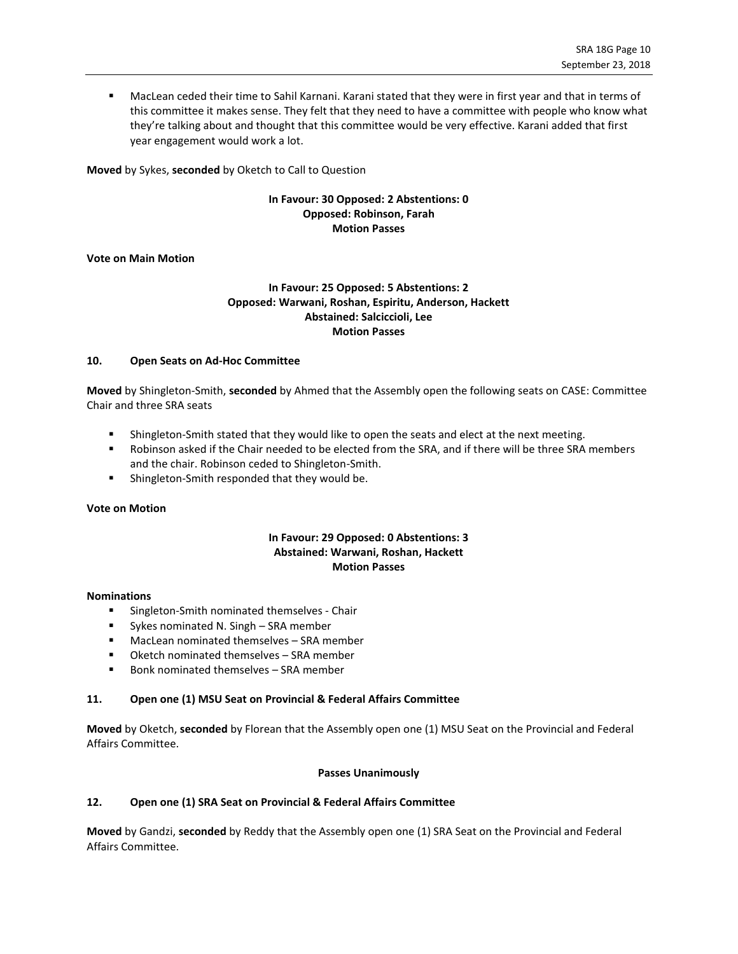MacLean ceded their time to Sahil Karnani. Karani stated that they were in first year and that in terms of this committee it makes sense. They felt that they need to have a committee with people who know what they're talking about and thought that this committee would be very effective. Karani added that first year engagement would work a lot.

**Moved** by Sykes, **seconded** by Oketch to Call to Question

# **In Favour: 30 Opposed: 2 Abstentions: 0 Opposed: Robinson, Farah Motion Passes**

### **Vote on Main Motion**

# **In Favour: 25 Opposed: 5 Abstentions: 2 Opposed: Warwani, Roshan, Espiritu, Anderson, Hackett Abstained: Salciccioli, Lee Motion Passes**

#### **10. Open Seats on Ad-Hoc Committee**

**Moved** by Shingleton-Smith, **seconded** by Ahmed that the Assembly open the following seats on CASE: Committee Chair and three SRA seats

- **EXECT** Shingleton-Smith stated that they would like to open the seats and elect at the next meeting.
- Robinson asked if the Chair needed to be elected from the SRA, and if there will be three SRA members and the chair. Robinson ceded to Shingleton-Smith.
- Shingleton-Smith responded that they would be.

# **Vote on Motion**

# **In Favour: 29 Opposed: 0 Abstentions: 3 Abstained: Warwani, Roshan, Hackett Motion Passes**

#### **Nominations**

- Singleton-Smith nominated themselves Chair
- Sykes nominated N. Singh SRA member
- MacLean nominated themselves SRA member
- Oketch nominated themselves SRA member
- Bonk nominated themselves SRA member

# **11. Open one (1) MSU Seat on Provincial & Federal Affairs Committee**

**Moved** by Oketch, **seconded** by Florean that the Assembly open one (1) MSU Seat on the Provincial and Federal Affairs Committee.

#### **Passes Unanimously**

# **12. Open one (1) SRA Seat on Provincial & Federal Affairs Committee**

**Moved** by Gandzi, **seconded** by Reddy that the Assembly open one (1) SRA Seat on the Provincial and Federal Affairs Committee.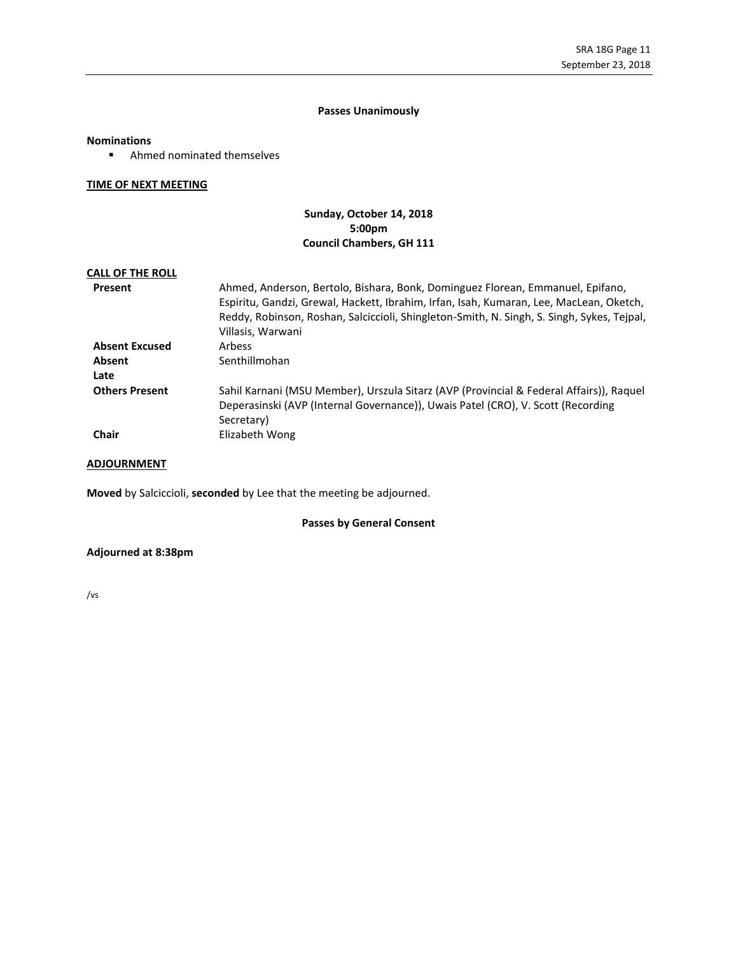# **Passes Unanimously**

#### **Nominations**

■ Ahmed nominated themselves

### **TIME OF NEXT MEETING**

# **Sunday, October 14, 2018 5:00pm Council Chambers, GH 111**

# **CALL OF THE ROLL**

| Present               | Ahmed, Anderson, Bertolo, Bishara, Bonk, Dominguez Florean, Emmanuel, Epifano,<br>Espiritu, Gandzi, Grewal, Hackett, Ibrahim, Irfan, Isah, Kumaran, Lee, MacLean, Oketch,<br>Reddy, Robinson, Roshan, Salciccioli, Shingleton-Smith, N. Singh, S. Singh, Sykes, Tejpal, |
|-----------------------|-------------------------------------------------------------------------------------------------------------------------------------------------------------------------------------------------------------------------------------------------------------------------|
|                       | Villasis, Warwani                                                                                                                                                                                                                                                       |
| <b>Absent Excused</b> | Arbess                                                                                                                                                                                                                                                                  |
| Absent                | Senthillmohan                                                                                                                                                                                                                                                           |
| Late                  |                                                                                                                                                                                                                                                                         |
| <b>Others Present</b> | Sahil Karnani (MSU Member), Urszula Sitarz (AVP (Provincial & Federal Affairs)), Raquel<br>Deperasinski (AVP (Internal Governance)), Uwais Patel (CRO), V. Scott (Recording<br>Secretary)                                                                               |
| <b>Chair</b>          | Elizabeth Wong                                                                                                                                                                                                                                                          |

# **ADJOURNMENT**

**Moved** by Salciccioli, **seconded** by Lee that the meeting be adjourned.

# **Passes by General Consent**

# **Adjourned at 8:38pm**

/vs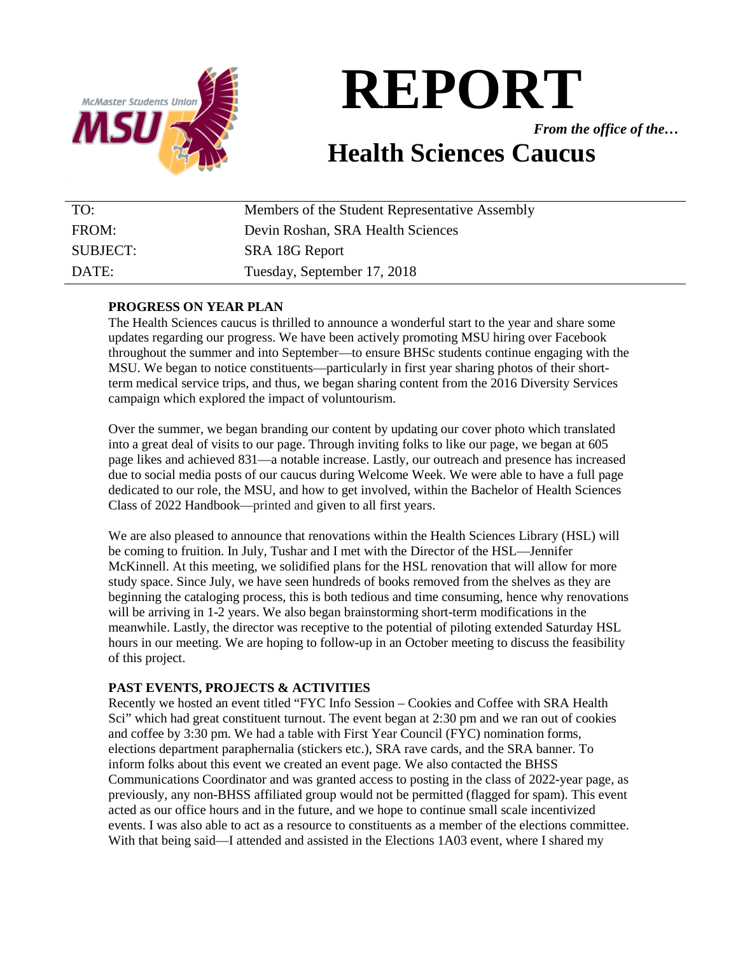

*From the office of the…*

# **Health Sciences Caucus**

| TO:             | Members of the Student Representative Assembly |
|-----------------|------------------------------------------------|
| FROM:           | Devin Roshan, SRA Health Sciences              |
| <b>SUBJECT:</b> | SRA 18G Report                                 |
| DATE:           | Tuesday, September 17, 2018                    |

# **PROGRESS ON YEAR PLAN**

The Health Sciences caucus is thrilled to announce a wonderful start to the year and share some updates regarding our progress. We have been actively promoting MSU hiring over Facebook throughout the summer and into September—to ensure BHSc students continue engaging with the MSU. We began to notice constituents—particularly in first year sharing photos of their shortterm medical service trips, and thus, we began sharing content from the 2016 Diversity Services campaign which explored the impact of voluntourism.

Over the summer, we began branding our content by updating our cover photo which translated into a great deal of visits to our page. Through inviting folks to like our page, we began at 605 page likes and achieved 831—a notable increase. Lastly, our outreach and presence has increased due to social media posts of our caucus during Welcome Week. We were able to have a full page dedicated to our role, the MSU, and how to get involved, within the Bachelor of Health Sciences Class of 2022 Handbook—printed and given to all first years.

We are also pleased to announce that renovations within the Health Sciences Library (HSL) will be coming to fruition. In July, Tushar and I met with the Director of the HSL—Jennifer McKinnell. At this meeting, we solidified plans for the HSL renovation that will allow for more study space. Since July, we have seen hundreds of books removed from the shelves as they are beginning the cataloging process, this is both tedious and time consuming, hence why renovations will be arriving in 1-2 years. We also began brainstorming short-term modifications in the meanwhile. Lastly, the director was receptive to the potential of piloting extended Saturday HSL hours in our meeting. We are hoping to follow-up in an October meeting to discuss the feasibility of this project.

# **PAST EVENTS, PROJECTS & ACTIVITIES**

Recently we hosted an event titled "FYC Info Session – Cookies and Coffee with SRA Health Sci" which had great constituent turnout. The event began at 2:30 pm and we ran out of cookies and coffee by 3:30 pm. We had a table with First Year Council (FYC) nomination forms, elections department paraphernalia (stickers etc.), SRA rave cards, and the SRA banner. To inform folks about this event we created an event page. We also contacted the BHSS Communications Coordinator and was granted access to posting in the class of 2022-year page, as previously, any non-BHSS affiliated group would not be permitted (flagged for spam). This event acted as our office hours and in the future, and we hope to continue small scale incentivized events. I was also able to act as a resource to constituents as a member of the elections committee. With that being said—I attended and assisted in the Elections 1A03 event, where I shared my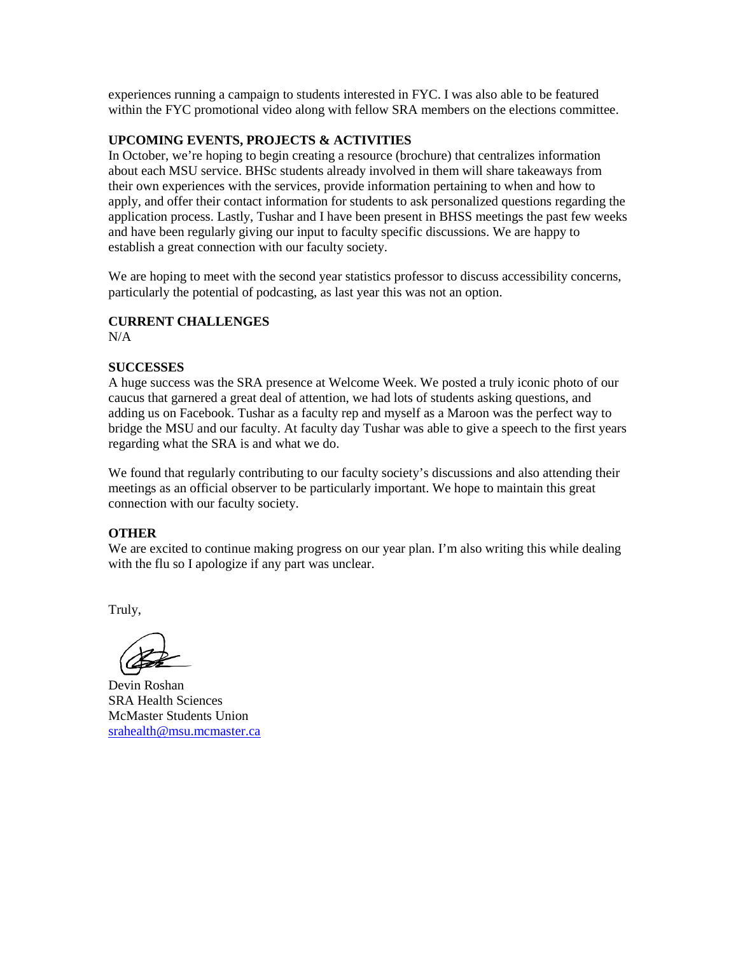experiences running a campaign to students interested in FYC. I was also able to be featured within the FYC promotional video along with fellow SRA members on the elections committee.

# **UPCOMING EVENTS, PROJECTS & ACTIVITIES**

In October, we're hoping to begin creating a resource (brochure) that centralizes information about each MSU service. BHSc students already involved in them will share takeaways from their own experiences with the services, provide information pertaining to when and how to apply, and offer their contact information for students to ask personalized questions regarding the application process. Lastly, Tushar and I have been present in BHSS meetings the past few weeks and have been regularly giving our input to faculty specific discussions. We are happy to establish a great connection with our faculty society.

We are hoping to meet with the second year statistics professor to discuss accessibility concerns, particularly the potential of podcasting, as last year this was not an option.

# **CURRENT CHALLENGES**

N/A

# **SUCCESSES**

A huge success was the SRA presence at Welcome Week. We posted a truly iconic photo of our caucus that garnered a great deal of attention, we had lots of students asking questions, and adding us on Facebook. Tushar as a faculty rep and myself as a Maroon was the perfect way to bridge the MSU and our faculty. At faculty day Tushar was able to give a speech to the first years regarding what the SRA is and what we do.

We found that regularly contributing to our faculty society's discussions and also attending their meetings as an official observer to be particularly important. We hope to maintain this great connection with our faculty society.

# **OTHER**

We are excited to continue making progress on our year plan. I'm also writing this while dealing with the flu so I apologize if any part was unclear.

Truly,

Devin Roshan SRA Health Sciences McMaster Students Union [srahealth@msu.mcmaster.ca](mailto:srahealth@msu.mcmaster.ca)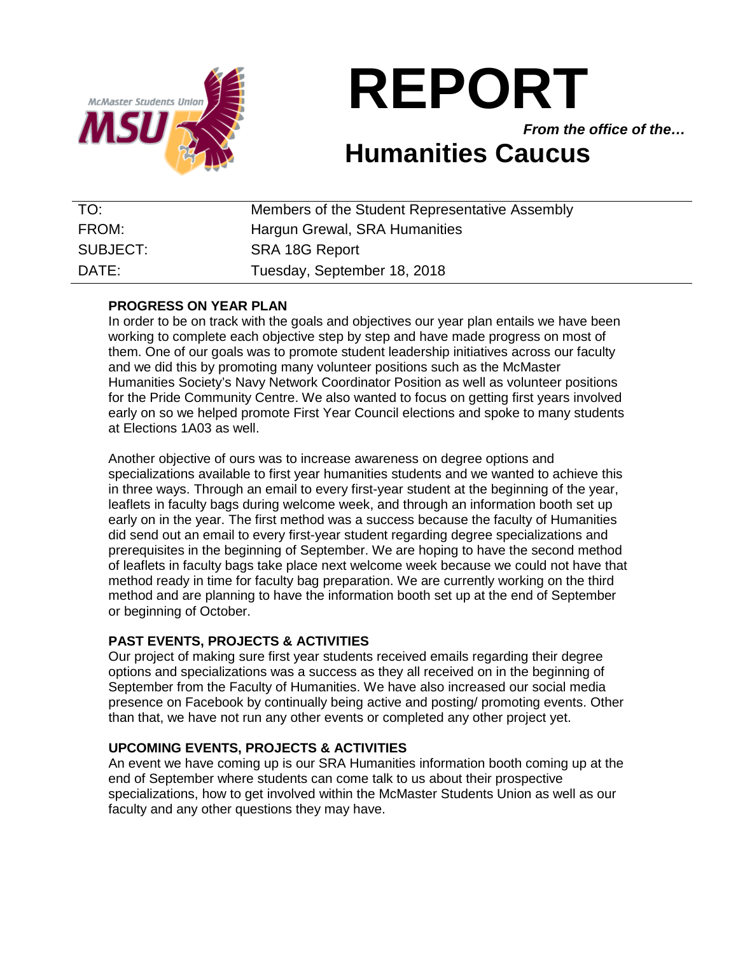

*From the office of the…*

# **Humanities Caucus**

| TO:      | Members of the Student Representative Assembly |
|----------|------------------------------------------------|
| FROM:    | Hargun Grewal, SRA Humanities                  |
| SUBJECT: | SRA 18G Report                                 |
| DATE:    | Tuesday, September 18, 2018                    |

# **PROGRESS ON YEAR PLAN**

In order to be on track with the goals and objectives our year plan entails we have been working to complete each objective step by step and have made progress on most of them. One of our goals was to promote student leadership initiatives across our faculty and we did this by promoting many volunteer positions such as the McMaster Humanities Society's Navy Network Coordinator Position as well as volunteer positions for the Pride Community Centre. We also wanted to focus on getting first years involved early on so we helped promote First Year Council elections and spoke to many students at Elections 1A03 as well.

Another objective of ours was to increase awareness on degree options and specializations available to first year humanities students and we wanted to achieve this in three ways. Through an email to every first-year student at the beginning of the year, leaflets in faculty bags during welcome week, and through an information booth set up early on in the year. The first method was a success because the faculty of Humanities did send out an email to every first-year student regarding degree specializations and prerequisites in the beginning of September. We are hoping to have the second method of leaflets in faculty bags take place next welcome week because we could not have that method ready in time for faculty bag preparation. We are currently working on the third method and are planning to have the information booth set up at the end of September or beginning of October.

# **PAST EVENTS, PROJECTS & ACTIVITIES**

Our project of making sure first year students received emails regarding their degree options and specializations was a success as they all received on in the beginning of September from the Faculty of Humanities. We have also increased our social media presence on Facebook by continually being active and posting/ promoting events. Other than that, we have not run any other events or completed any other project yet.

# **UPCOMING EVENTS, PROJECTS & ACTIVITIES**

An event we have coming up is our SRA Humanities information booth coming up at the end of September where students can come talk to us about their prospective specializations, how to get involved within the McMaster Students Union as well as our faculty and any other questions they may have.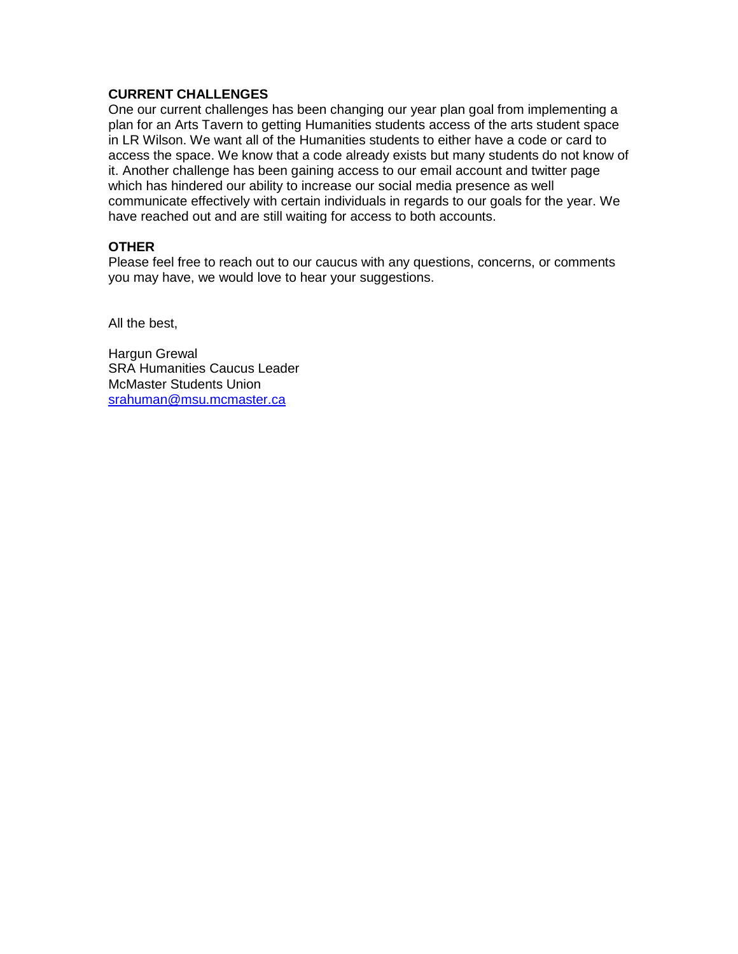# **CURRENT CHALLENGES**

One our current challenges has been changing our year plan goal from implementing a plan for an Arts Tavern to getting Humanities students access of the arts student space in LR Wilson. We want all of the Humanities students to either have a code or card to access the space. We know that a code already exists but many students do not know of it. Another challenge has been gaining access to our email account and twitter page which has hindered our ability to increase our social media presence as well communicate effectively with certain individuals in regards to our goals for the year. We have reached out and are still waiting for access to both accounts.

# **OTHER**

Please feel free to reach out to our caucus with any questions, concerns, or comments you may have, we would love to hear your suggestions.

All the best,

Hargun Grewal SRA Humanities Caucus Leader McMaster Students Union [srahuman@msu.mcmaster.ca](mailto:srahuman@msu.mcmaster.ca)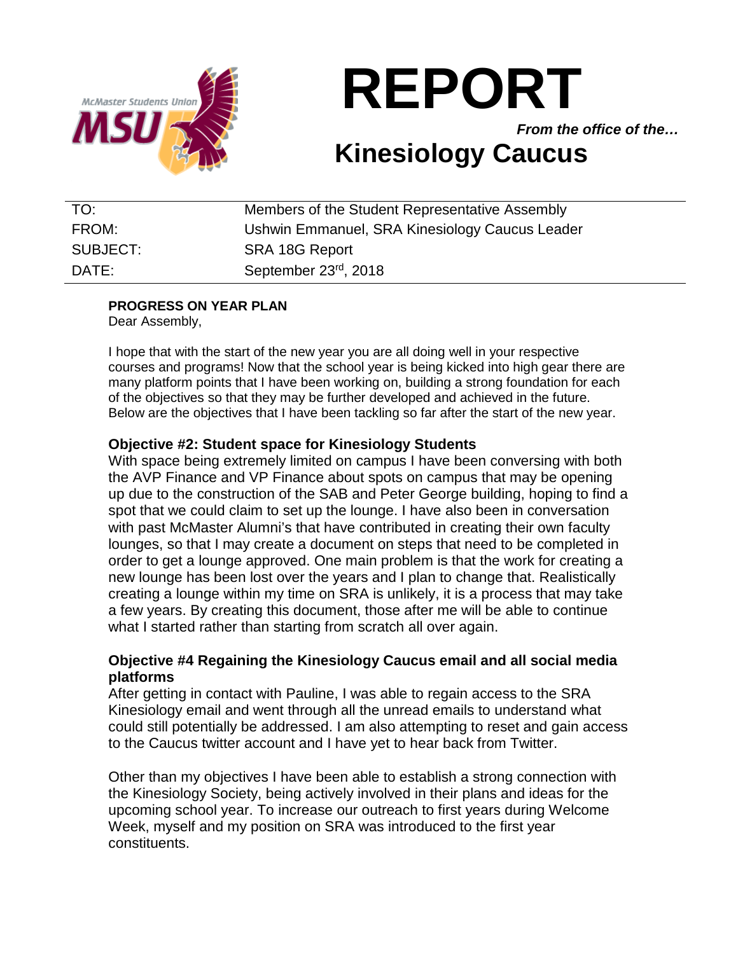

*From the office of the…*

# **Kinesiology Caucus**

| TO:      | Members of the Student Representative Assembly |
|----------|------------------------------------------------|
| FROM:    | Ushwin Emmanuel, SRA Kinesiology Caucus Leader |
| SUBJECT: | SRA 18G Report                                 |
| DATE:    | September 23rd, 2018                           |

# **PROGRESS ON YEAR PLAN**

Dear Assembly,

I hope that with the start of the new year you are all doing well in your respective courses and programs! Now that the school year is being kicked into high gear there are many platform points that I have been working on, building a strong foundation for each of the objectives so that they may be further developed and achieved in the future. Below are the objectives that I have been tackling so far after the start of the new year.

# **Objective #2: Student space for Kinesiology Students**

With space being extremely limited on campus I have been conversing with both the AVP Finance and VP Finance about spots on campus that may be opening up due to the construction of the SAB and Peter George building, hoping to find a spot that we could claim to set up the lounge. I have also been in conversation with past McMaster Alumni's that have contributed in creating their own faculty lounges, so that I may create a document on steps that need to be completed in order to get a lounge approved. One main problem is that the work for creating a new lounge has been lost over the years and I plan to change that. Realistically creating a lounge within my time on SRA is unlikely, it is a process that may take a few years. By creating this document, those after me will be able to continue what I started rather than starting from scratch all over again.

# **Objective #4 Regaining the Kinesiology Caucus email and all social media platforms**

After getting in contact with Pauline, I was able to regain access to the SRA Kinesiology email and went through all the unread emails to understand what could still potentially be addressed. I am also attempting to reset and gain access to the Caucus twitter account and I have yet to hear back from Twitter.

Other than my objectives I have been able to establish a strong connection with the Kinesiology Society, being actively involved in their plans and ideas for the upcoming school year. To increase our outreach to first years during Welcome Week, myself and my position on SRA was introduced to the first year constituents.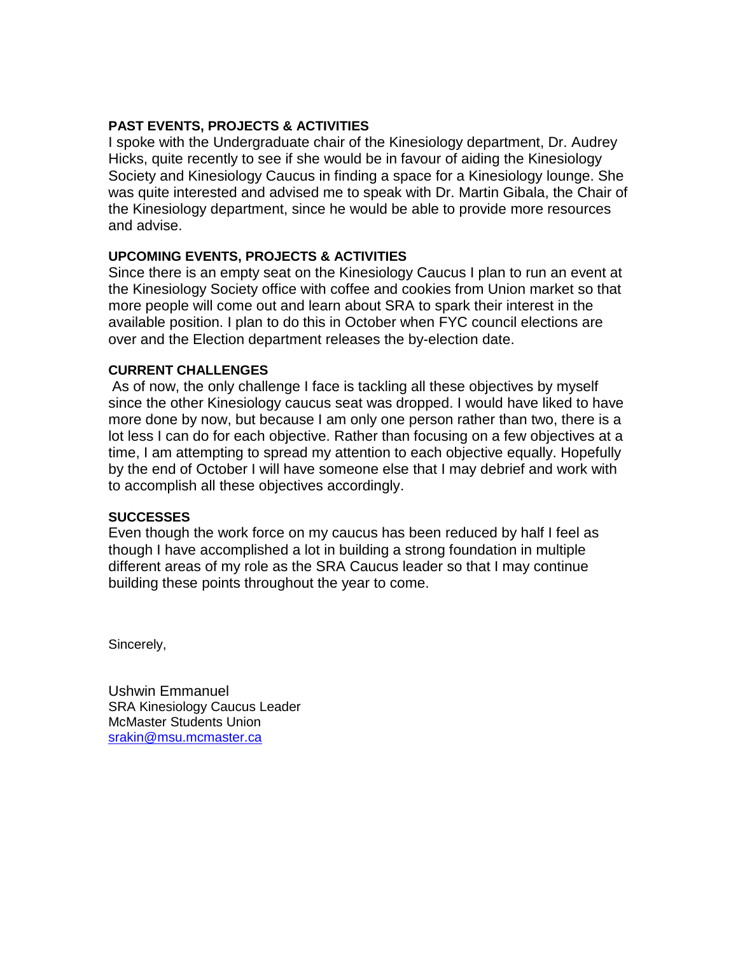# **PAST EVENTS, PROJECTS & ACTIVITIES**

I spoke with the Undergraduate chair of the Kinesiology department, Dr. Audrey Hicks, quite recently to see if she would be in favour of aiding the Kinesiology Society and Kinesiology Caucus in finding a space for a Kinesiology lounge. She was quite interested and advised me to speak with Dr. Martin Gibala, the Chair of the Kinesiology department, since he would be able to provide more resources and advise.

# **UPCOMING EVENTS, PROJECTS & ACTIVITIES**

Since there is an empty seat on the Kinesiology Caucus I plan to run an event at the Kinesiology Society office with coffee and cookies from Union market so that more people will come out and learn about SRA to spark their interest in the available position. I plan to do this in October when FYC council elections are over and the Election department releases the by-election date.

# **CURRENT CHALLENGES**

As of now, the only challenge I face is tackling all these objectives by myself since the other Kinesiology caucus seat was dropped. I would have liked to have more done by now, but because I am only one person rather than two, there is a lot less I can do for each objective. Rather than focusing on a few objectives at a time, I am attempting to spread my attention to each objective equally. Hopefully by the end of October I will have someone else that I may debrief and work with to accomplish all these objectives accordingly.

# **SUCCESSES**

Even though the work force on my caucus has been reduced by half I feel as though I have accomplished a lot in building a strong foundation in multiple different areas of my role as the SRA Caucus leader so that I may continue building these points throughout the year to come.

Sincerely,

Ushwin Emmanuel SRA Kinesiology Caucus Leader McMaster Students Union [srakin@msu.mcmaster.ca](mailto:srakin@msu.mcmaster.ca)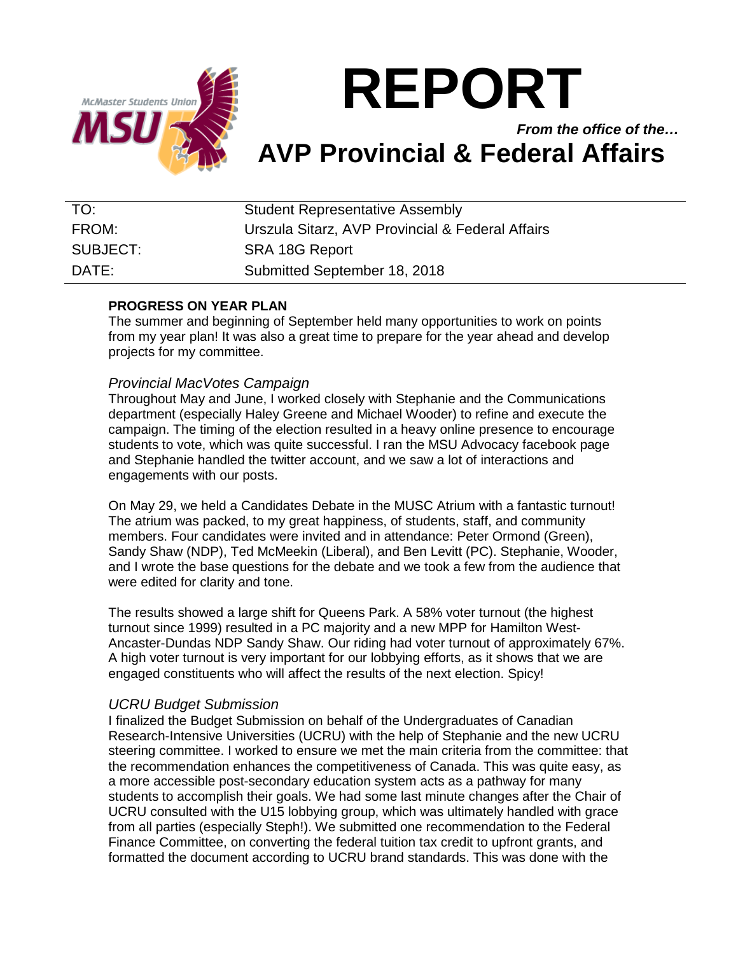

*From the office of the…* **AVP Provincial & Federal Affairs**

| TO:               | <b>Student Representative Assembly</b>           |
|-------------------|--------------------------------------------------|
| FROM:             | Urszula Sitarz, AVP Provincial & Federal Affairs |
| SUBJECT:          | <b>SRA 18G Report</b>                            |
| $\mathsf{DATF}$ : | Submitted September 18, 2018                     |

# **PROGRESS ON YEAR PLAN**

The summer and beginning of September held many opportunities to work on points from my year plan! It was also a great time to prepare for the year ahead and develop projects for my committee.

# *Provincial MacVotes Campaign*

Throughout May and June, I worked closely with Stephanie and the Communications department (especially Haley Greene and Michael Wooder) to refine and execute the campaign. The timing of the election resulted in a heavy online presence to encourage students to vote, which was quite successful. I ran the MSU Advocacy facebook page and Stephanie handled the twitter account, and we saw a lot of interactions and engagements with our posts.

On May 29, we held a Candidates Debate in the MUSC Atrium with a fantastic turnout! The atrium was packed, to my great happiness, of students, staff, and community members. Four candidates were invited and in attendance: Peter Ormond (Green), Sandy Shaw (NDP), Ted McMeekin (Liberal), and Ben Levitt (PC). Stephanie, Wooder, and I wrote the base questions for the debate and we took a few from the audience that were edited for clarity and tone.

The results showed a large shift for Queens Park. A 58% voter turnout (the highest turnout since 1999) resulted in a PC majority and a new MPP for Hamilton West-Ancaster-Dundas NDP Sandy Shaw. Our riding had voter turnout of approximately 67%. A high voter turnout is very important for our lobbying efforts, as it shows that we are engaged constituents who will affect the results of the next election. Spicy!

# *UCRU Budget Submission*

I finalized the Budget Submission on behalf of the Undergraduates of Canadian Research-Intensive Universities (UCRU) with the help of Stephanie and the new UCRU steering committee. I worked to ensure we met the main criteria from the committee: that the recommendation enhances the competitiveness of Canada. This was quite easy, as a more accessible post-secondary education system acts as a pathway for many students to accomplish their goals. We had some last minute changes after the Chair of UCRU consulted with the U15 lobbying group, which was ultimately handled with grace from all parties (especially Steph!). We submitted one recommendation to the Federal Finance Committee, on converting the federal tuition tax credit to upfront grants, and formatted the document according to UCRU brand standards. This was done with the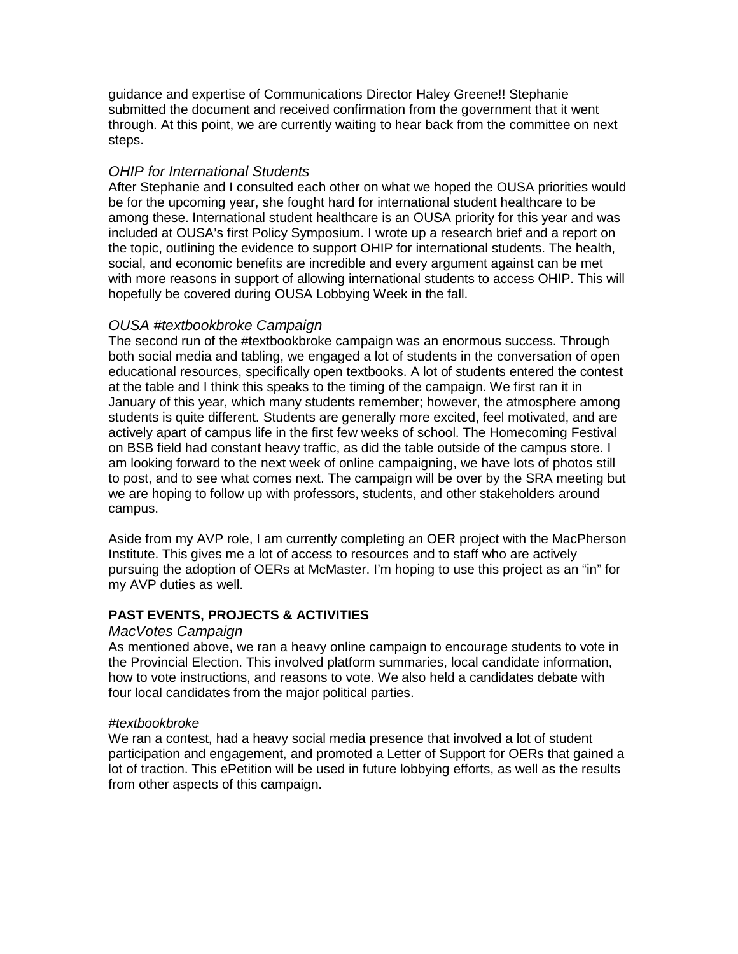guidance and expertise of Communications Director Haley Greene!! Stephanie submitted the document and received confirmation from the government that it went through. At this point, we are currently waiting to hear back from the committee on next steps.

# *OHIP for International Students*

After Stephanie and I consulted each other on what we hoped the OUSA priorities would be for the upcoming year, she fought hard for international student healthcare to be among these. International student healthcare is an OUSA priority for this year and was included at OUSA's first Policy Symposium. I wrote up a research brief and a report on the topic, outlining the evidence to support OHIP for international students. The health, social, and economic benefits are incredible and every argument against can be met with more reasons in support of allowing international students to access OHIP. This will hopefully be covered during OUSA Lobbying Week in the fall.

# *OUSA #textbookbroke Campaign*

The second run of the #textbookbroke campaign was an enormous success. Through both social media and tabling, we engaged a lot of students in the conversation of open educational resources, specifically open textbooks. A lot of students entered the contest at the table and I think this speaks to the timing of the campaign. We first ran it in January of this year, which many students remember; however, the atmosphere among students is quite different. Students are generally more excited, feel motivated, and are actively apart of campus life in the first few weeks of school. The Homecoming Festival on BSB field had constant heavy traffic, as did the table outside of the campus store. I am looking forward to the next week of online campaigning, we have lots of photos still to post, and to see what comes next. The campaign will be over by the SRA meeting but we are hoping to follow up with professors, students, and other stakeholders around campus.

Aside from my AVP role, I am currently completing an OER project with the MacPherson Institute. This gives me a lot of access to resources and to staff who are actively pursuing the adoption of OERs at McMaster. I'm hoping to use this project as an "in" for my AVP duties as well.

# **PAST EVENTS, PROJECTS & ACTIVITIES**

# *MacVotes Campaign*

As mentioned above, we ran a heavy online campaign to encourage students to vote in the Provincial Election. This involved platform summaries, local candidate information, how to vote instructions, and reasons to vote. We also held a candidates debate with four local candidates from the major political parties.

# *#textbookbroke*

We ran a contest, had a heavy social media presence that involved a lot of student participation and engagement, and promoted a Letter of Support for OERs that gained a lot of traction. This ePetition will be used in future lobbying efforts, as well as the results from other aspects of this campaign.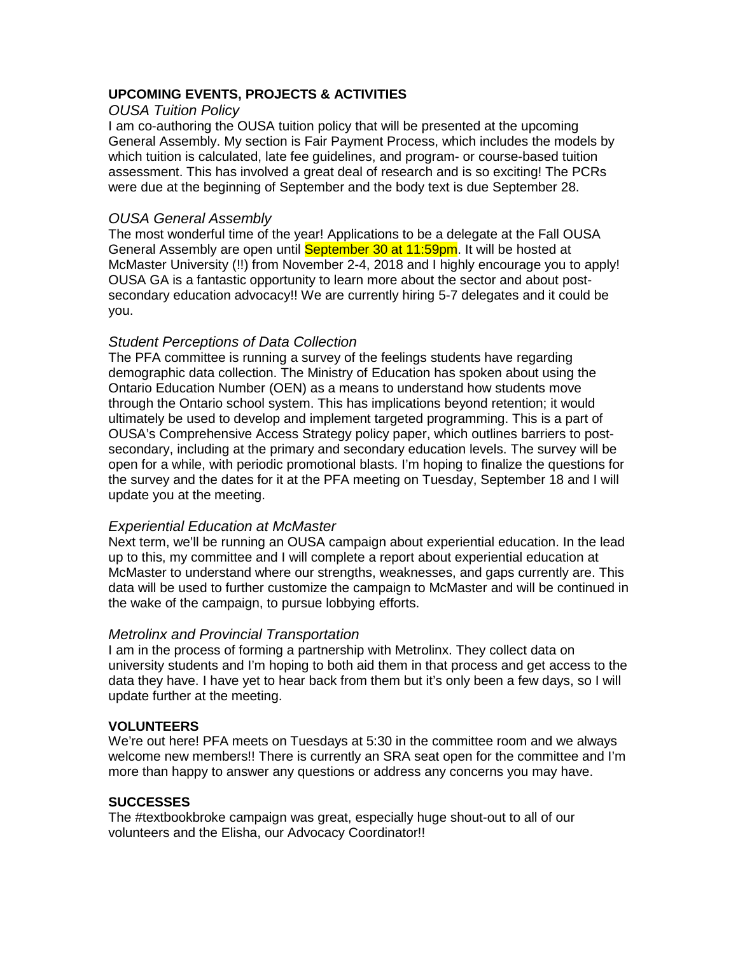# **UPCOMING EVENTS, PROJECTS & ACTIVITIES**

# *OUSA Tuition Policy*

I am co-authoring the OUSA tuition policy that will be presented at the upcoming General Assembly. My section is Fair Payment Process, which includes the models by which tuition is calculated, late fee guidelines, and program- or course-based tuition assessment. This has involved a great deal of research and is so exciting! The PCRs were due at the beginning of September and the body text is due September 28.

# *OUSA General Assembly*

The most wonderful time of the year! Applications to be a delegate at the Fall OUSA General Assembly are open until September 30 at 11:59pm. It will be hosted at McMaster University (!!) from November 2-4, 2018 and I highly encourage you to apply! OUSA GA is a fantastic opportunity to learn more about the sector and about postsecondary education advocacy!! We are currently hiring 5-7 delegates and it could be you.

# *Student Perceptions of Data Collection*

The PFA committee is running a survey of the feelings students have regarding demographic data collection. The Ministry of Education has spoken about using the Ontario Education Number (OEN) as a means to understand how students move through the Ontario school system. This has implications beyond retention; it would ultimately be used to develop and implement targeted programming. This is a part of OUSA's Comprehensive Access Strategy policy paper, which outlines barriers to postsecondary, including at the primary and secondary education levels. The survey will be open for a while, with periodic promotional blasts. I'm hoping to finalize the questions for the survey and the dates for it at the PFA meeting on Tuesday, September 18 and I will update you at the meeting.

# *Experiential Education at McMaster*

Next term, we'll be running an OUSA campaign about experiential education. In the lead up to this, my committee and I will complete a report about experiential education at McMaster to understand where our strengths, weaknesses, and gaps currently are. This data will be used to further customize the campaign to McMaster and will be continued in the wake of the campaign, to pursue lobbying efforts.

# *Metrolinx and Provincial Transportation*

I am in the process of forming a partnership with Metrolinx. They collect data on university students and I'm hoping to both aid them in that process and get access to the data they have. I have yet to hear back from them but it's only been a few days, so I will update further at the meeting.

# **VOLUNTEERS**

We're out here! PFA meets on Tuesdays at 5:30 in the committee room and we always welcome new members!! There is currently an SRA seat open for the committee and I'm more than happy to answer any questions or address any concerns you may have.

# **SUCCESSES**

The #textbookbroke campaign was great, especially huge shout-out to all of our volunteers and the Elisha, our Advocacy Coordinator!!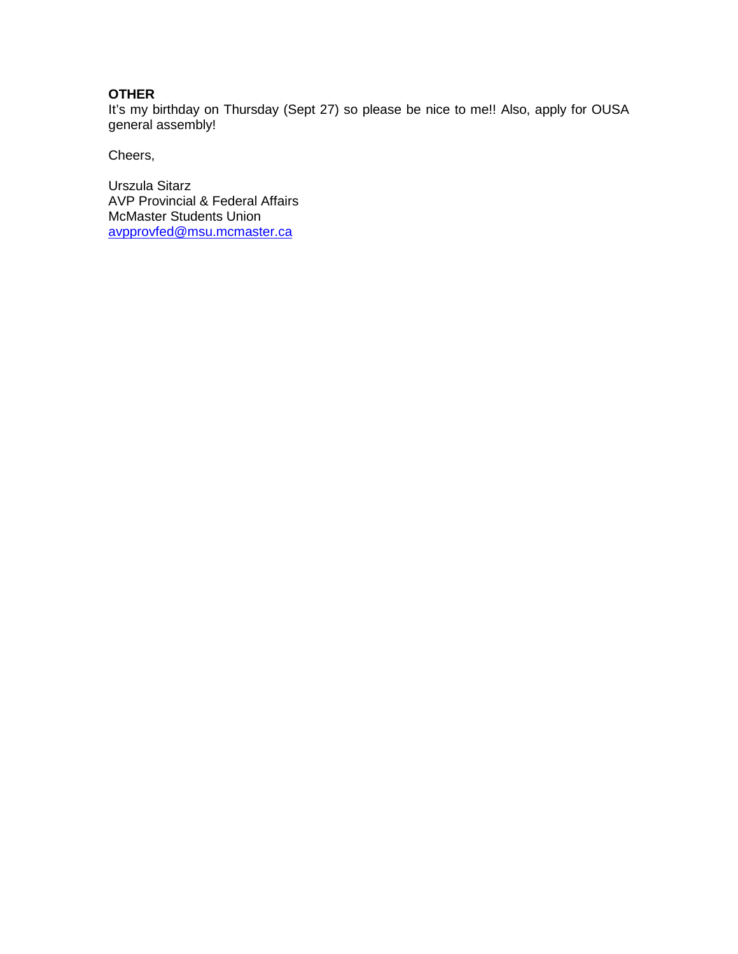# **OTHER**

It's my birthday on Thursday (Sept 27) so please be nice to me!! Also, apply for OUSA general assembly!

Cheers,

Urszula Sitarz AVP Provincial & Federal Affairs McMaster Students Union [avpprovfed@msu.mcmaster.ca](mailto:avpprovfed@msu.mcmaster.ca)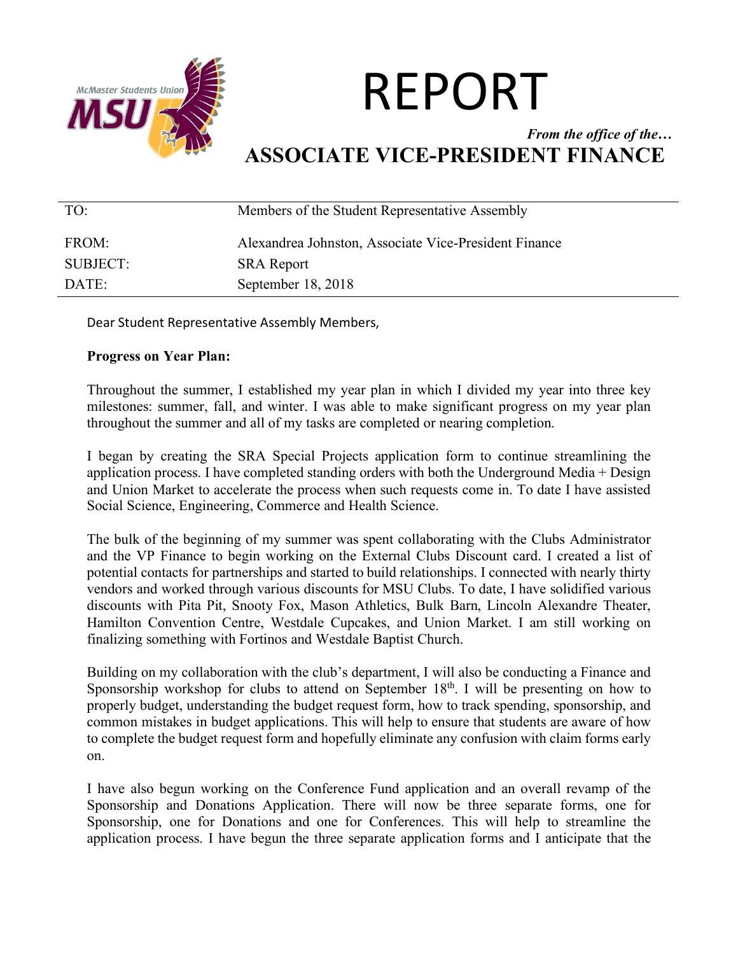

# *From the office of the…* **ASSOCIATE VICE-PRESIDENT FINANCE**

| TO:      | Members of the Student Representative Assembly        |
|----------|-------------------------------------------------------|
| FROM:    | Alexandrea Johnston, Associate Vice-President Finance |
| SUBJECT: | <b>SRA</b> Report                                     |
| DATE:    | September 18, 2018                                    |

Dear Student Representative Assembly Members,

# **Progress on Year Plan:**

Throughout the summer, I established my year plan in which I divided my year into three key milestones: summer, fall, and winter. I was able to make significant progress on my year plan throughout the summer and all of my tasks are completed or nearing completion.

I began by creating the SRA Special Projects application form to continue streamlining the application process. I have completed standing orders with both the Underground Media + Design and Union Market to accelerate the process when such requests come in. To date I have assisted Social Science, Engineering, Commerce and Health Science.

The bulk of the beginning of my summer was spent collaborating with the Clubs Administrator and the VP Finance to begin working on the External Clubs Discount card. I created a list of potential contacts for partnerships and started to build relationships. I connected with nearly thirty vendors and worked through various discounts for MSU Clubs. To date, I have solidified various discounts with Pita Pit, Snooty Fox, Mason Athletics, Bulk Barn, Lincoln Alexandre Theater, Hamilton Convention Centre, Westdale Cupcakes, and Union Market. I am still working on finalizing something with Fortinos and Westdale Baptist Church.

Building on my collaboration with the club's department, I will also be conducting a Finance and Sponsorship workshop for clubs to attend on September  $18<sup>th</sup>$ . I will be presenting on how to properly budget, understanding the budget request form, how to track spending, sponsorship, and common mistakes in budget applications. This will help to ensure that students are aware of how to complete the budget request form and hopefully eliminate any confusion with claim forms early on.

I have also begun working on the Conference Fund application and an overall revamp of the Sponsorship and Donations Application. There will now be three separate forms, one for Sponsorship, one for Donations and one for Conferences. This will help to streamline the application process. I have begun the three separate application forms and I anticipate that the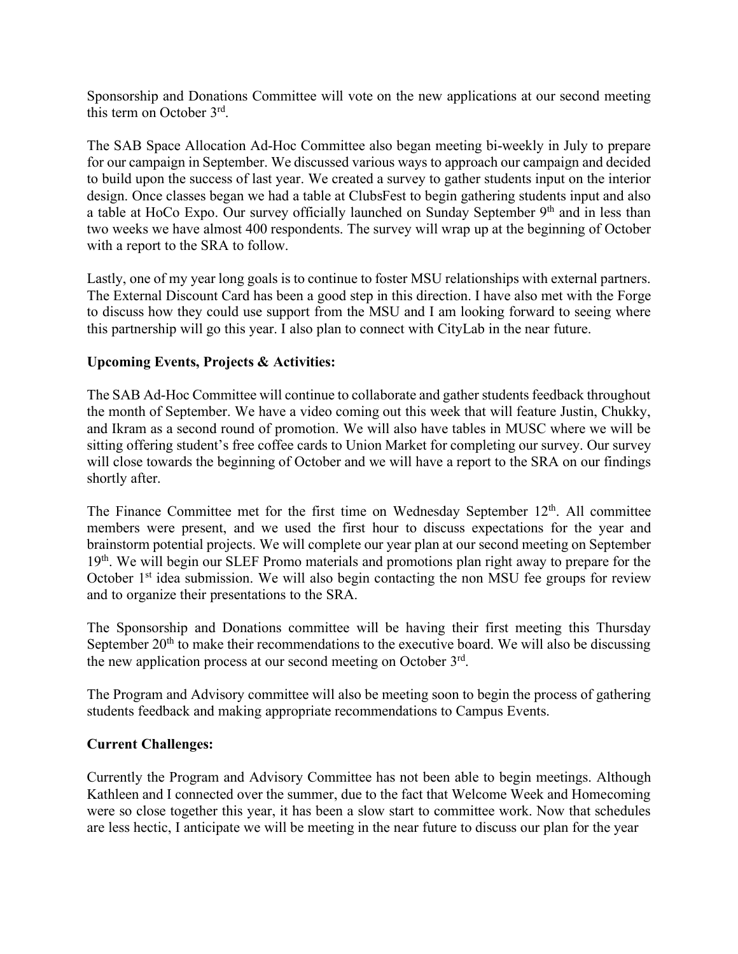Sponsorship and Donations Committee will vote on the new applications at our second meeting this term on October 3rd.

The SAB Space Allocation Ad-Hoc Committee also began meeting bi-weekly in July to prepare for our campaign in September. We discussed various ways to approach our campaign and decided to build upon the success of last year. We created a survey to gather students input on the interior design. Once classes began we had a table at ClubsFest to begin gathering students input and also a table at HoCo Expo. Our survey officially launched on Sunday September 9<sup>th</sup> and in less than two weeks we have almost 400 respondents. The survey will wrap up at the beginning of October with a report to the SRA to follow.

Lastly, one of my year long goals is to continue to foster MSU relationships with external partners. The External Discount Card has been a good step in this direction. I have also met with the Forge to discuss how they could use support from the MSU and I am looking forward to seeing where this partnership will go this year. I also plan to connect with CityLab in the near future.

# **Upcoming Events, Projects & Activities:**

The SAB Ad-Hoc Committee will continue to collaborate and gather students feedback throughout the month of September. We have a video coming out this week that will feature Justin, Chukky, and Ikram as a second round of promotion. We will also have tables in MUSC where we will be sitting offering student's free coffee cards to Union Market for completing our survey. Our survey will close towards the beginning of October and we will have a report to the SRA on our findings shortly after.

The Finance Committee met for the first time on Wednesday September  $12<sup>th</sup>$ . All committee members were present, and we used the first hour to discuss expectations for the year and brainstorm potential projects. We will complete our year plan at our second meeting on September 19<sup>th</sup>. We will begin our SLEF Promo materials and promotions plan right away to prepare for the October 1<sup>st</sup> idea submission. We will also begin contacting the non MSU fee groups for review and to organize their presentations to the SRA.

The Sponsorship and Donations committee will be having their first meeting this Thursday September  $20<sup>th</sup>$  to make their recommendations to the executive board. We will also be discussing the new application process at our second meeting on October 3rd.

The Program and Advisory committee will also be meeting soon to begin the process of gathering students feedback and making appropriate recommendations to Campus Events.

# **Current Challenges:**

Currently the Program and Advisory Committee has not been able to begin meetings. Although Kathleen and I connected over the summer, due to the fact that Welcome Week and Homecoming were so close together this year, it has been a slow start to committee work. Now that schedules are less hectic, I anticipate we will be meeting in the near future to discuss our plan for the year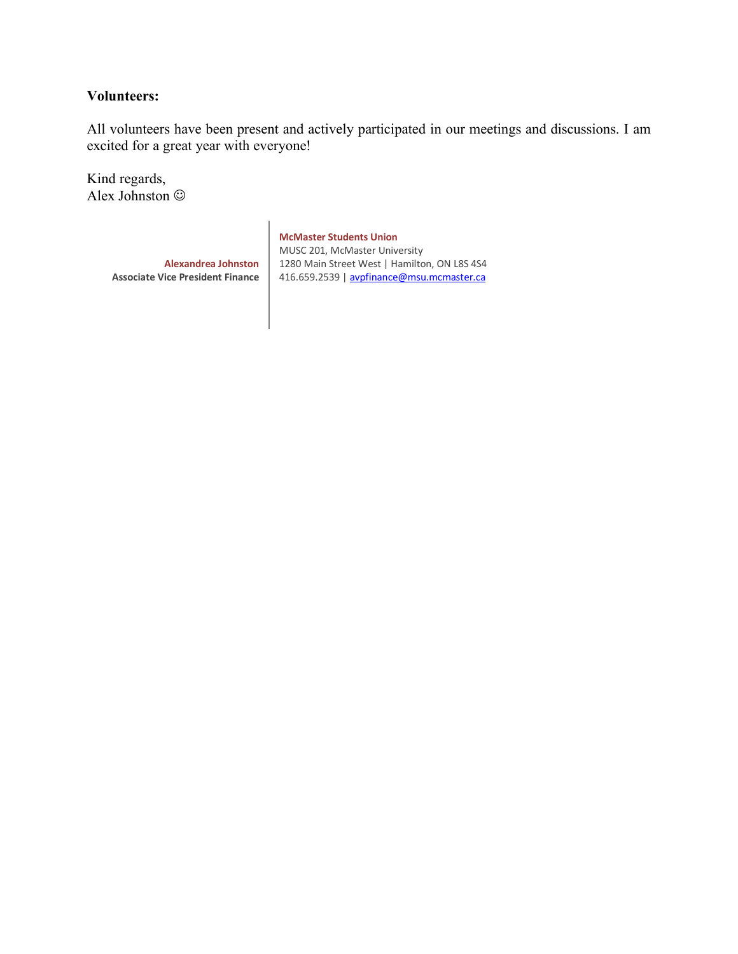# **Volunteers:**

All volunteers have been present and actively participated in our meetings and discussions. I am excited for a great year with everyone!

Kind regards, Alex Johnston  $\odot$ 

> **Alexandrea Johnston Associate Vice President Finance**

**McMaster Students Union** MUSC 201, McMaster University 1280 Main Street West | Hamilton, ON L8S 4S4 416.659.2539 | avpfinance@msu.mcmaster.ca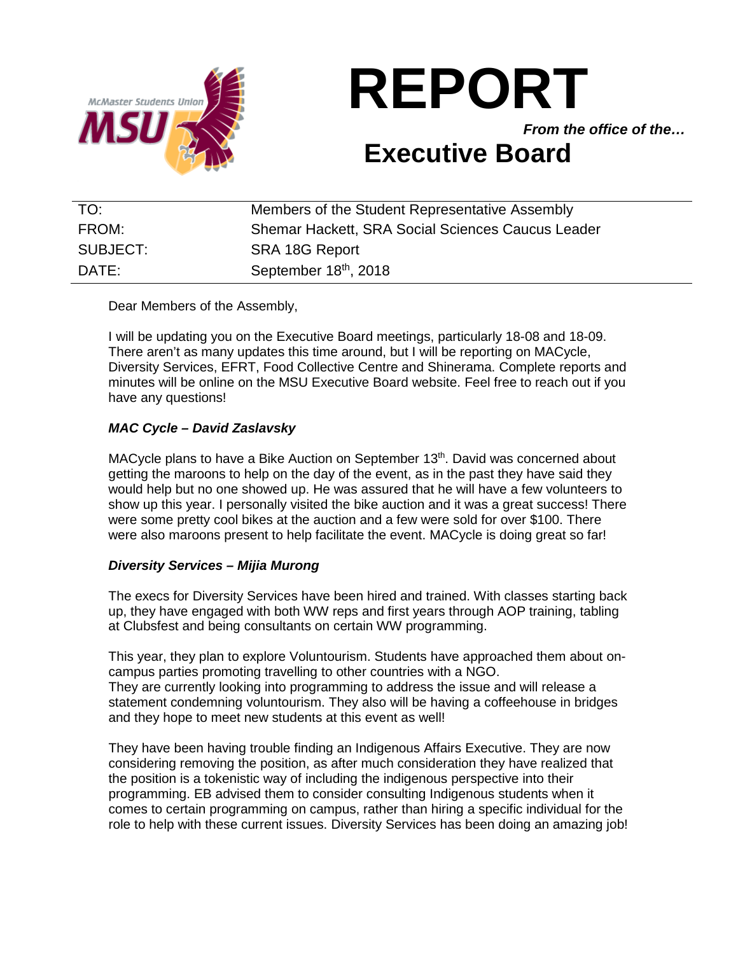

*From the office of the…*

# **Executive Board**

| TO:      | Members of the Student Representative Assembly    |
|----------|---------------------------------------------------|
| FROM:    | Shemar Hackett, SRA Social Sciences Caucus Leader |
| SUBJECT: | SRA 18G Report                                    |
| DATE:    | September 18th, 2018                              |

Dear Members of the Assembly,

I will be updating you on the Executive Board meetings, particularly 18-08 and 18-09. There aren't as many updates this time around, but I will be reporting on MACycle, Diversity Services, EFRT, Food Collective Centre and Shinerama. Complete reports and minutes will be online on the MSU Executive Board website. Feel free to reach out if you have any questions!

# *MAC Cycle – David Zaslavsky*

MACycle plans to have a Bike Auction on September 13<sup>th</sup>. David was concerned about getting the maroons to help on the day of the event, as in the past they have said they would help but no one showed up. He was assured that he will have a few volunteers to show up this year. I personally visited the bike auction and it was a great success! There were some pretty cool bikes at the auction and a few were sold for over \$100. There were also maroons present to help facilitate the event. MACycle is doing great so far!

# *Diversity Services – Mijia Murong*

The execs for Diversity Services have been hired and trained. With classes starting back up, they have engaged with both WW reps and first years through AOP training, tabling at Clubsfest and being consultants on certain WW programming.

This year, they plan to explore Voluntourism. Students have approached them about oncampus parties promoting travelling to other countries with a NGO. They are currently looking into programming to address the issue and will release a statement condemning voluntourism. They also will be having a coffeehouse in bridges and they hope to meet new students at this event as well!

They have been having trouble finding an Indigenous Affairs Executive. They are now considering removing the position, as after much consideration they have realized that the position is a tokenistic way of including the indigenous perspective into their programming. EB advised them to consider consulting Indigenous students when it comes to certain programming on campus, rather than hiring a specific individual for the role to help with these current issues. Diversity Services has been doing an amazing job!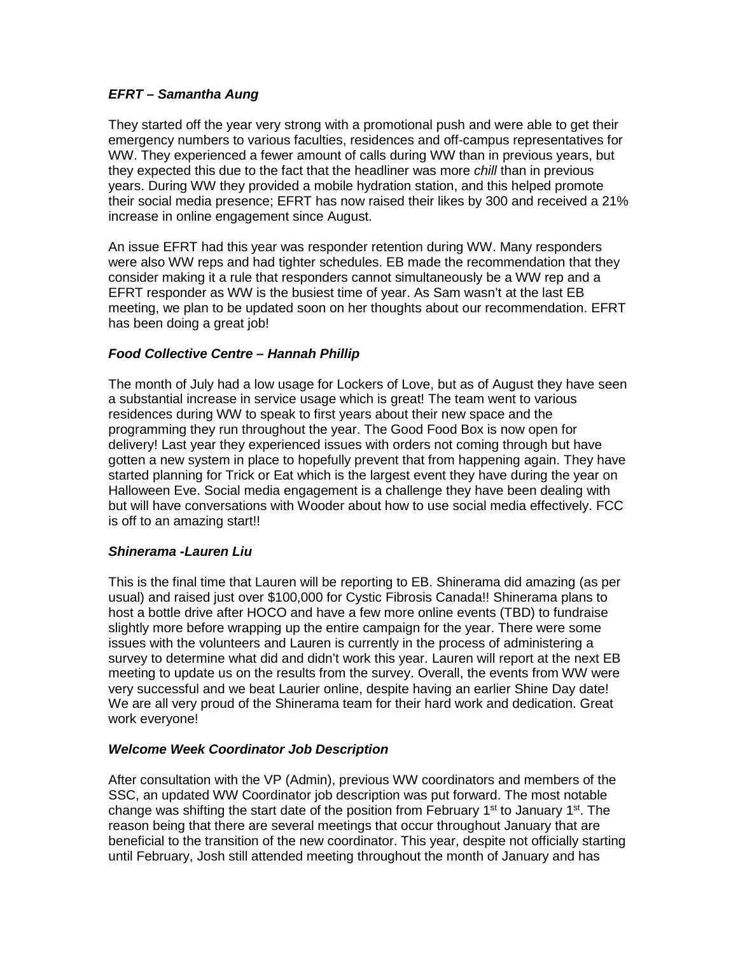# *EFRT – Samantha Aung*

They started off the year very strong with a promotional push and were able to get their emergency numbers to various faculties, residences and off-campus representatives for WW. They experienced a fewer amount of calls during WW than in previous years, but they expected this due to the fact that the headliner was more *chill* than in previous years. During WW they provided a mobile hydration station, and this helped promote their social media presence; EFRT has now raised their likes by 300 and received a 21% increase in online engagement since August.

An issue EFRT had this year was responder retention during WW. Many responders were also WW reps and had tighter schedules. EB made the recommendation that they consider making it a rule that responders cannot simultaneously be a WW rep and a EFRT responder as WW is the busiest time of year. As Sam wasn't at the last EB meeting, we plan to be updated soon on her thoughts about our recommendation. EFRT has been doing a great job!

# *Food Collective Centre – Hannah Phillip*

The month of July had a low usage for Lockers of Love, but as of August they have seen a substantial increase in service usage which is great! The team went to various residences during WW to speak to first years about their new space and the programming they run throughout the year. The Good Food Box is now open for delivery! Last year they experienced issues with orders not coming through but have gotten a new system in place to hopefully prevent that from happening again. They have started planning for Trick or Eat which is the largest event they have during the year on Halloween Eve. Social media engagement is a challenge they have been dealing with but will have conversations with Wooder about how to use social media effectively. FCC is off to an amazing start!!

# *Shinerama -Lauren Liu*

This is the final time that Lauren will be reporting to EB. Shinerama did amazing (as per usual) and raised just over \$100,000 for Cystic Fibrosis Canada!! Shinerama plans to host a bottle drive after HOCO and have a few more online events (TBD) to fundraise slightly more before wrapping up the entire campaign for the year. There were some issues with the volunteers and Lauren is currently in the process of administering a survey to determine what did and didn't work this year. Lauren will report at the next EB meeting to update us on the results from the survey. Overall, the events from WW were very successful and we beat Laurier online, despite having an earlier Shine Day date! We are all very proud of the Shinerama team for their hard work and dedication. Great work everyone!

# *Welcome Week Coordinator Job Description*

After consultation with the VP (Admin), previous WW coordinators and members of the SSC, an updated WW Coordinator job description was put forward. The most notable change was shifting the start date of the position from February 1st to January 1st. The reason being that there are several meetings that occur throughout January that are beneficial to the transition of the new coordinator. This year, despite not officially starting until February, Josh still attended meeting throughout the month of January and has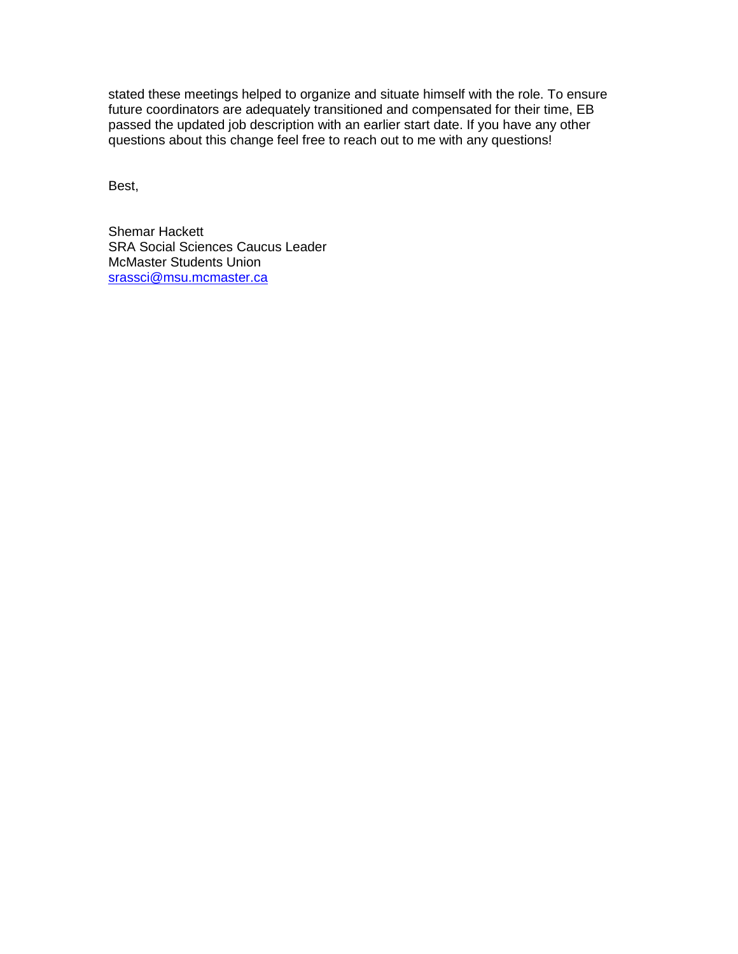stated these meetings helped to organize and situate himself with the role. To ensure future coordinators are adequately transitioned and compensated for their time, EB passed the updated job description with an earlier start date. If you have any other questions about this change feel free to reach out to me with any questions!

Best,

Shemar Hackett SRA Social Sciences Caucus Leader McMaster Students Union [srassci@msu.mcmaster.ca](mailto:srassci@msu.mcmaster.ca)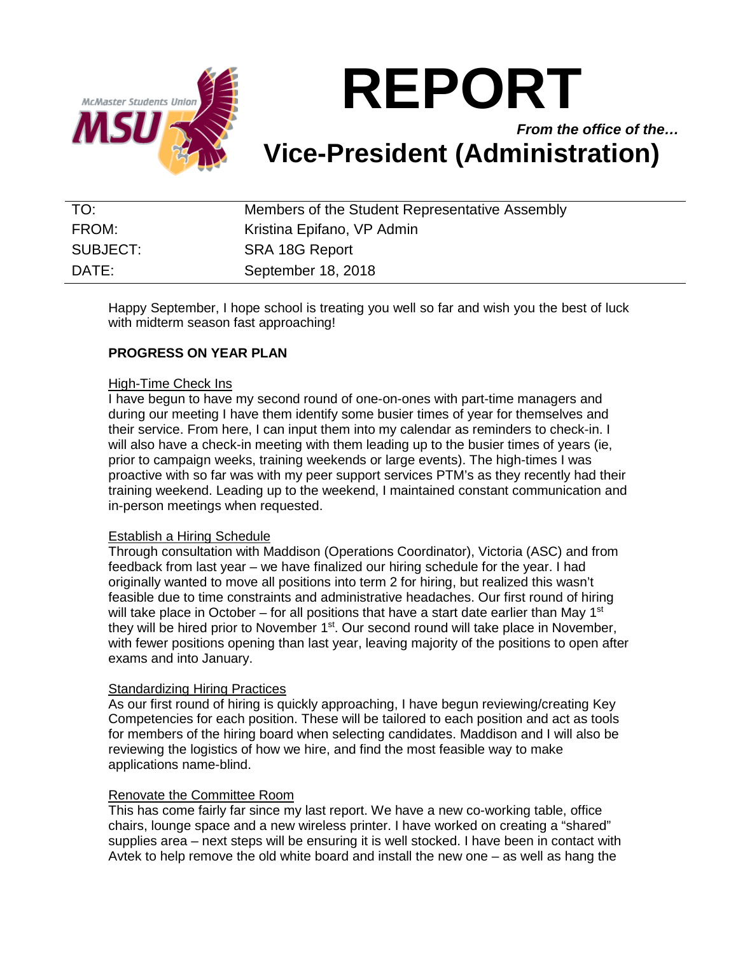

*From the office of the…* **Vice-President (Administration)**

| TO:      | Members of the Student Representative Assembly |
|----------|------------------------------------------------|
| FROM:    | Kristina Epifano, VP Admin                     |
| SUBJECT: | SRA 18G Report                                 |
| DATE:    | September 18, 2018                             |

Happy September, I hope school is treating you well so far and wish you the best of luck with midterm season fast approaching!

# **PROGRESS ON YEAR PLAN**

# High-Time Check Ins

I have begun to have my second round of one-on-ones with part-time managers and during our meeting I have them identify some busier times of year for themselves and their service. From here, I can input them into my calendar as reminders to check-in. I will also have a check-in meeting with them leading up to the busier times of years (ie, prior to campaign weeks, training weekends or large events). The high-times I was proactive with so far was with my peer support services PTM's as they recently had their training weekend. Leading up to the weekend, I maintained constant communication and in-person meetings when requested.

# Establish a Hiring Schedule

Through consultation with Maddison (Operations Coordinator), Victoria (ASC) and from feedback from last year – we have finalized our hiring schedule for the year. I had originally wanted to move all positions into term 2 for hiring, but realized this wasn't feasible due to time constraints and administrative headaches. Our first round of hiring will take place in October – for all positions that have a start date earlier than May 1st they will be hired prior to November  $1<sup>st</sup>$ . Our second round will take place in November, with fewer positions opening than last year, leaving majority of the positions to open after exams and into January.

# Standardizing Hiring Practices

As our first round of hiring is quickly approaching, I have begun reviewing/creating Key Competencies for each position. These will be tailored to each position and act as tools for members of the hiring board when selecting candidates. Maddison and I will also be reviewing the logistics of how we hire, and find the most feasible way to make applications name-blind.

# Renovate the Committee Room

This has come fairly far since my last report. We have a new co-working table, office chairs, lounge space and a new wireless printer. I have worked on creating a "shared" supplies area – next steps will be ensuring it is well stocked. I have been in contact with Avtek to help remove the old white board and install the new one – as well as hang the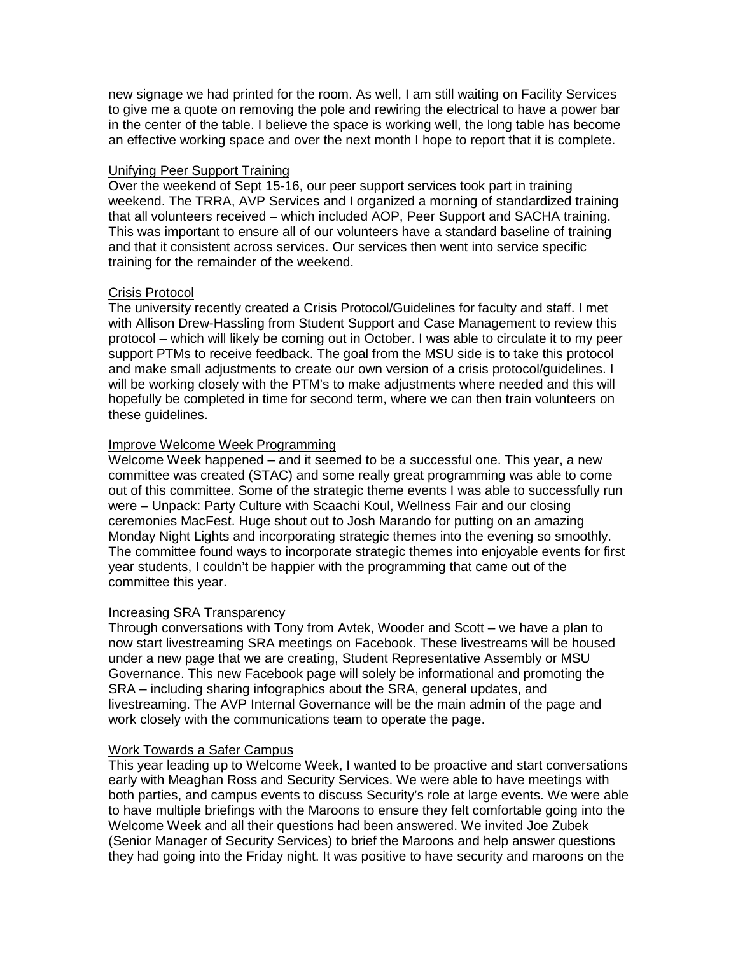new signage we had printed for the room. As well, I am still waiting on Facility Services to give me a quote on removing the pole and rewiring the electrical to have a power bar in the center of the table. I believe the space is working well, the long table has become an effective working space and over the next month I hope to report that it is complete.

# Unifying Peer Support Training

Over the weekend of Sept 15-16, our peer support services took part in training weekend. The TRRA, AVP Services and I organized a morning of standardized training that all volunteers received – which included AOP, Peer Support and SACHA training. This was important to ensure all of our volunteers have a standard baseline of training and that it consistent across services. Our services then went into service specific training for the remainder of the weekend.

# Crisis Protocol

The university recently created a Crisis Protocol/Guidelines for faculty and staff. I met with Allison Drew-Hassling from Student Support and Case Management to review this protocol – which will likely be coming out in October. I was able to circulate it to my peer support PTMs to receive feedback. The goal from the MSU side is to take this protocol and make small adjustments to create our own version of a crisis protocol/guidelines. I will be working closely with the PTM's to make adjustments where needed and this will hopefully be completed in time for second term, where we can then train volunteers on these guidelines.

# Improve Welcome Week Programming

Welcome Week happened – and it seemed to be a successful one. This year, a new committee was created (STAC) and some really great programming was able to come out of this committee. Some of the strategic theme events I was able to successfully run were – Unpack: Party Culture with Scaachi Koul, Wellness Fair and our closing ceremonies MacFest. Huge shout out to Josh Marando for putting on an amazing Monday Night Lights and incorporating strategic themes into the evening so smoothly. The committee found ways to incorporate strategic themes into enjoyable events for first year students, I couldn't be happier with the programming that came out of the committee this year.

# Increasing SRA Transparency

Through conversations with Tony from Avtek, Wooder and Scott – we have a plan to now start livestreaming SRA meetings on Facebook. These livestreams will be housed under a new page that we are creating, Student Representative Assembly or MSU Governance. This new Facebook page will solely be informational and promoting the SRA – including sharing infographics about the SRA, general updates, and livestreaming. The AVP Internal Governance will be the main admin of the page and work closely with the communications team to operate the page.

# Work Towards a Safer Campus

This year leading up to Welcome Week, I wanted to be proactive and start conversations early with Meaghan Ross and Security Services. We were able to have meetings with both parties, and campus events to discuss Security's role at large events. We were able to have multiple briefings with the Maroons to ensure they felt comfortable going into the Welcome Week and all their questions had been answered. We invited Joe Zubek (Senior Manager of Security Services) to brief the Maroons and help answer questions they had going into the Friday night. It was positive to have security and maroons on the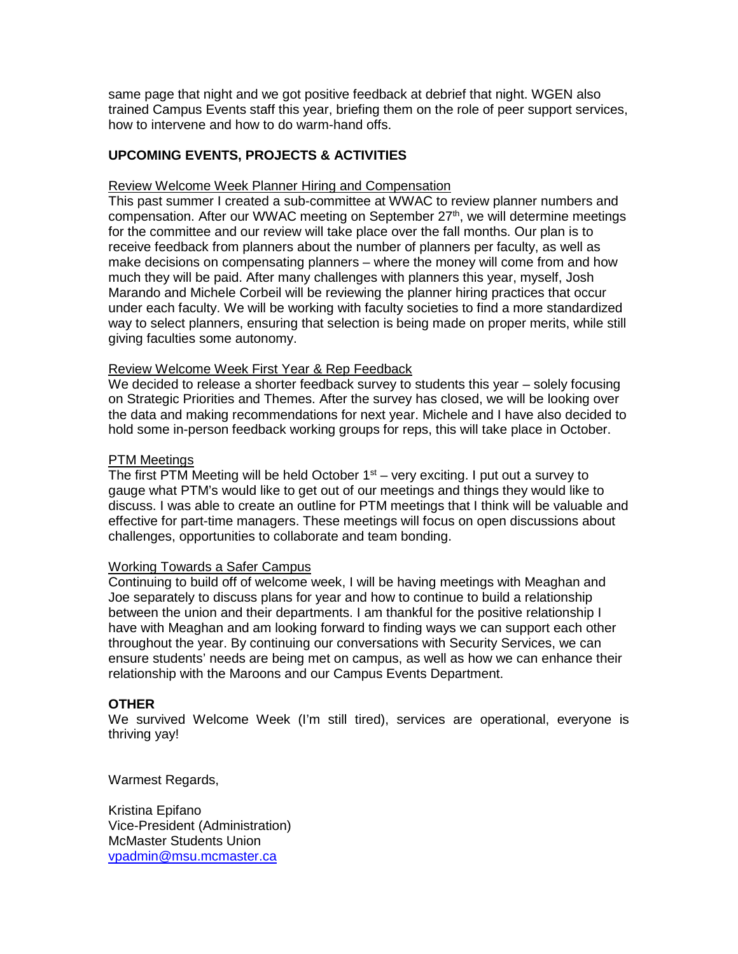same page that night and we got positive feedback at debrief that night. WGEN also trained Campus Events staff this year, briefing them on the role of peer support services, how to intervene and how to do warm-hand offs.

# **UPCOMING EVENTS, PROJECTS & ACTIVITIES**

# Review Welcome Week Planner Hiring and Compensation

This past summer I created a sub-committee at WWAC to review planner numbers and compensation. After our WWAC meeting on September 27<sup>th</sup>, we will determine meetings for the committee and our review will take place over the fall months. Our plan is to receive feedback from planners about the number of planners per faculty, as well as make decisions on compensating planners – where the money will come from and how much they will be paid. After many challenges with planners this year, myself, Josh Marando and Michele Corbeil will be reviewing the planner hiring practices that occur under each faculty. We will be working with faculty societies to find a more standardized way to select planners, ensuring that selection is being made on proper merits, while still giving faculties some autonomy.

# Review Welcome Week First Year & Rep Feedback

We decided to release a shorter feedback survey to students this year – solely focusing on Strategic Priorities and Themes. After the survey has closed, we will be looking over the data and making recommendations for next year. Michele and I have also decided to hold some in-person feedback working groups for reps, this will take place in October.

# PTM Meetings

The first PTM Meeting will be held October  $1<sup>st</sup>$  – very exciting. I put out a survey to gauge what PTM's would like to get out of our meetings and things they would like to discuss. I was able to create an outline for PTM meetings that I think will be valuable and effective for part-time managers. These meetings will focus on open discussions about challenges, opportunities to collaborate and team bonding.

# Working Towards a Safer Campus

Continuing to build off of welcome week, I will be having meetings with Meaghan and Joe separately to discuss plans for year and how to continue to build a relationship between the union and their departments. I am thankful for the positive relationship I have with Meaghan and am looking forward to finding ways we can support each other throughout the year. By continuing our conversations with Security Services, we can ensure students' needs are being met on campus, as well as how we can enhance their relationship with the Maroons and our Campus Events Department.

# **OTHER**

We survived Welcome Week (I'm still tired), services are operational, everyone is thriving yay!

Warmest Regards,

Kristina Epifano Vice-President (Administration) McMaster Students Union [vpadmin@msu.mcmaster.ca](mailto:vpadmin@msu.mcmaster.ca)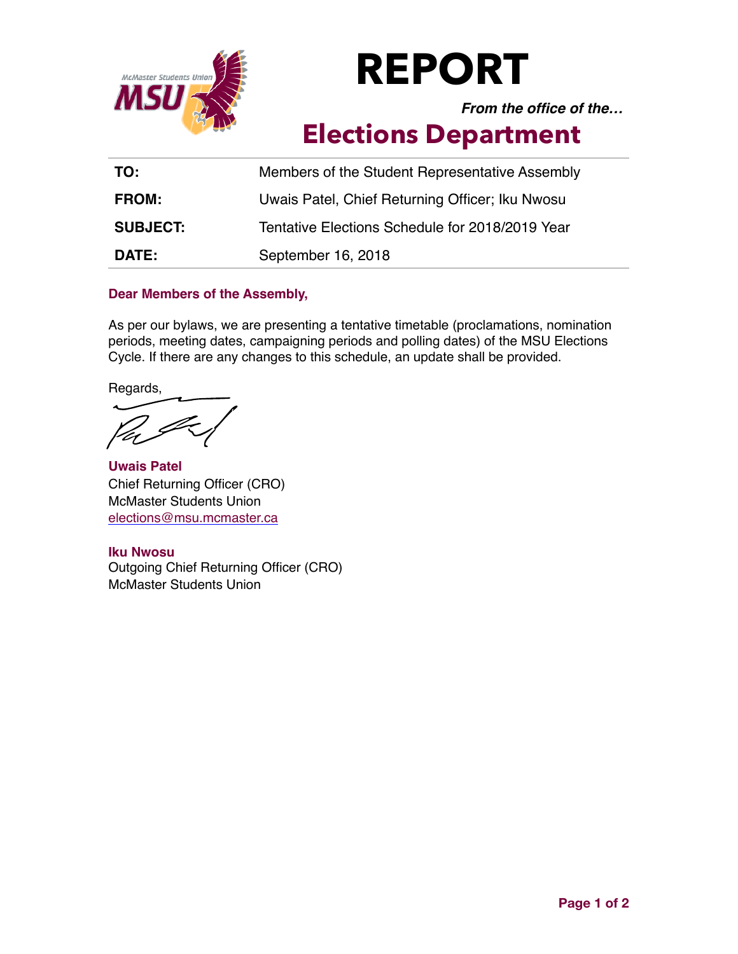

*From the office of the…*

# **Elections Department**

| TO:             | Members of the Student Representative Assembly  |
|-----------------|-------------------------------------------------|
| <b>FROM:</b>    | Uwais Patel, Chief Returning Officer; Iku Nwosu |
| <b>SUBJECT:</b> | Tentative Elections Schedule for 2018/2019 Year |
| <b>DATE:</b>    | September 16, 2018                              |

# **Dear Members of the Assembly,**

As per our bylaws, we are presenting a tentative timetable (proclamations, nomination periods, meeting dates, campaigning periods and polling dates) of the MSU Elections Cycle. If there are any changes to this schedule, an update shall be provided.

Regards,

**Uwais Patel** Chief Returning Officer (CRO) McMaster Students Union [elections@msu.mcmaster.ca](mailto:elections@msu.mcmaster.ca)

# **Iku Nwosu**

Outgoing Chief Returning Officer (CRO) McMaster Students Union